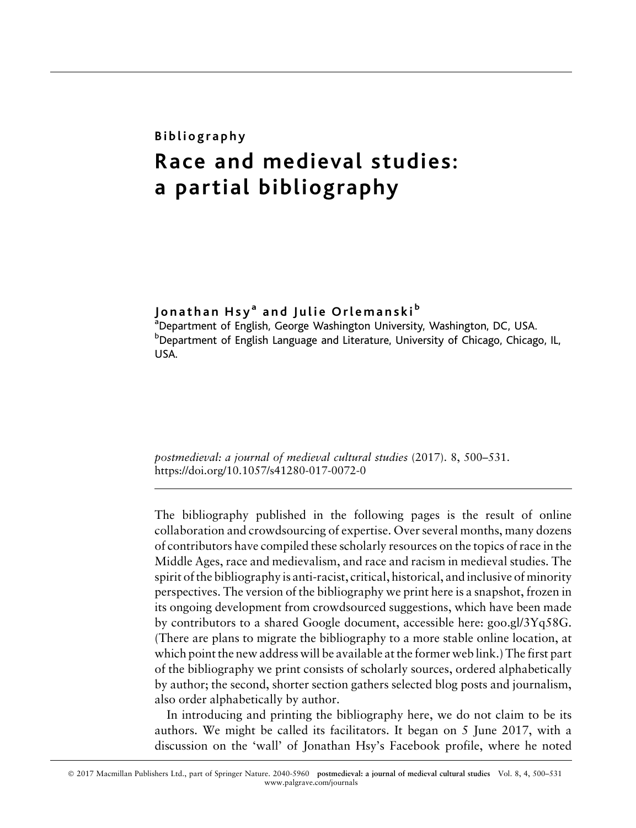## Bibliography Race and medieval studies: a partial bibliography

Jonathan Hsy<sup>a</sup> and Julie Orlemanski<sup>b</sup>

aDepartment of English, George Washington University, Washington, DC, USA. **b** Department of English Language and Literature, University of Chicago, Chicago, IL, USA.

postmedieval: a journal of medieval cultural studies (2017). 8, 500–531. https://doi.org/10.1057/s41280-017-0072-0

The bibliography published in the following pages is the result of online collaboration and crowdsourcing of expertise. Over several months, many dozens of contributors have compiled these scholarly resources on the topics of race in the Middle Ages, race and medievalism, and race and racism in medieval studies. The spirit of the bibliography is anti-racist, critical, historical, and inclusive of minority perspectives. The version of the bibliography we print here is a snapshot, frozen in its ongoing development from crowdsourced suggestions, which have been made by contributors to a shared Google document, accessible here: goo.gl/3Yq58G. (There are plans to migrate the bibliography to a more stable online location, at which point the new address will be available at the former web link.) The first part of the bibliography we print consists of scholarly sources, ordered alphabetically by author; the second, shorter section gathers selected blog posts and journalism, also order alphabetically by author.

In introducing and printing the bibliography here, we do not claim to be its authors. We might be called its facilitators. It began on 5 June 2017, with a discussion on the 'wall' of Jonathan Hsy's Facebook profile, where he noted

© 2017 Macmillan Publishers Ltd., part of Springer Nature. 2040-5960 postmedieval: a journal of medieval cultural studies Vol. 8, 4, 500–531 www.palgrave.com/journals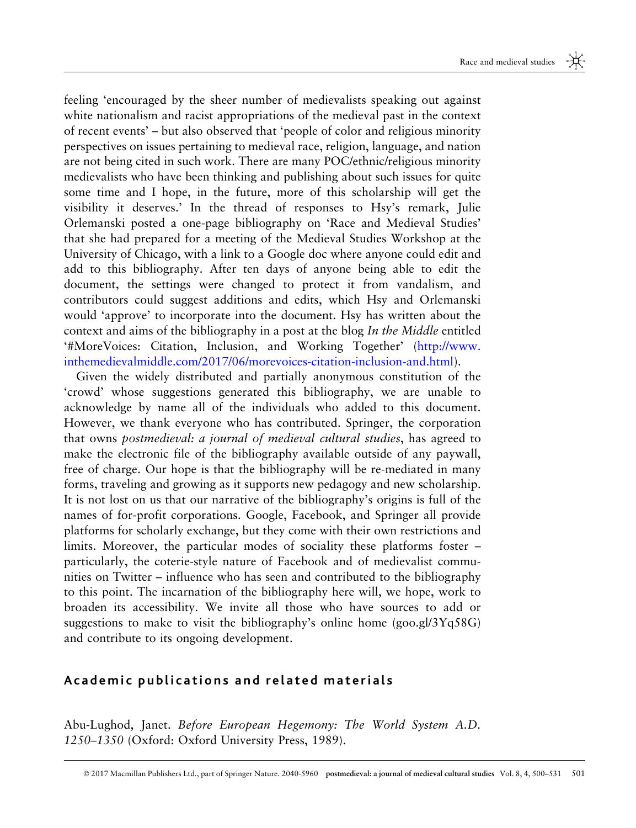feeling 'encouraged by the sheer number of medievalists speaking out against white nationalism and racist appropriations of the medieval past in the context of recent events' – but also observed that 'people of color and religious minority perspectives on issues pertaining to medieval race, religion, language, and nation are not being cited in such work. There are many POC/ethnic/religious minority medievalists who have been thinking and publishing about such issues for quite some time and I hope, in the future, more of this scholarship will get the visibility it deserves.' In the thread of responses to Hsy's remark, Julie Orlemanski posted a one-page bibliography on 'Race and Medieval Studies' that she had prepared for a meeting of the Medieval Studies Workshop at the University of Chicago, with a link to a Google doc where anyone could edit and add to this bibliography. After ten days of anyone being able to edit the document, the settings were changed to protect it from vandalism, and contributors could suggest additions and edits, which Hsy and Orlemanski would 'approve' to incorporate into the document. Hsy has written about the context and aims of the bibliography in a post at the blog In the Middle entitled '#MoreVoices: Citation, Inclusion, and Working Together' ([http://www.](http://www.inthemedievalmiddle.com/2017/06/morevoices-citation-inclusion-and.html) [inthemedievalmiddle.com/2017/06/morevoices-citation-inclusion-and.html](http://www.inthemedievalmiddle.com/2017/06/morevoices-citation-inclusion-and.html)).

Given the widely distributed and partially anonymous constitution of the 'crowd' whose suggestions generated this bibliography, we are unable to acknowledge by name all of the individuals who added to this document. However, we thank everyone who has contributed. Springer, the corporation that owns postmedieval: a journal of medieval cultural studies, has agreed to make the electronic file of the bibliography available outside of any paywall, free of charge. Our hope is that the bibliography will be re-mediated in many forms, traveling and growing as it supports new pedagogy and new scholarship. It is not lost on us that our narrative of the bibliography's origins is full of the names of for-profit corporations. Google, Facebook, and Springer all provide platforms for scholarly exchange, but they come with their own restrictions and limits. Moreover, the particular modes of sociality these platforms foster – particularly, the coterie-style nature of Facebook and of medievalist communities on Twitter – influence who has seen and contributed to the bibliography to this point. The incarnation of the bibliography here will, we hope, work to broaden its accessibility. We invite all those who have sources to add or suggestions to make to visit the bibliography's online home (goo.gl/3Yq58G) and contribute to its ongoing development.

## Academic publications and related materials

Abu-Lughod, Janet. Before European Hegemony: The World System A.D. 1250–1350 (Oxford: Oxford University Press, 1989).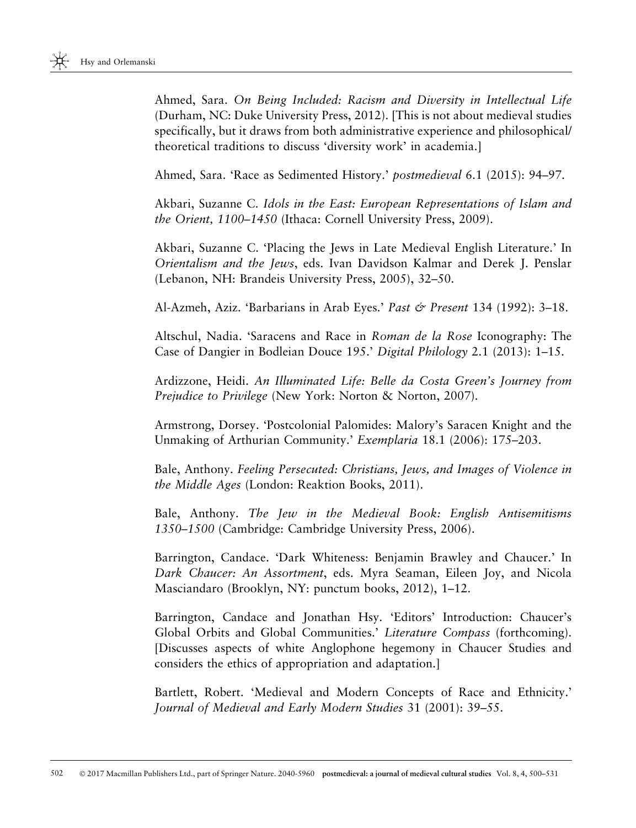Ahmed, Sara. On Being Included: Racism and Diversity in Intellectual Life (Durham, NC: Duke University Press, 2012). [This is not about medieval studies specifically, but it draws from both administrative experience and philosophical/ theoretical traditions to discuss 'diversity work' in academia.]

Ahmed, Sara. 'Race as Sedimented History.' postmedieval 6.1 (2015): 94–97.

Akbari, Suzanne C. Idols in the East: European Representations of Islam and the Orient, 1100–1450 (Ithaca: Cornell University Press, 2009).

Akbari, Suzanne C. 'Placing the Jews in Late Medieval English Literature.' In Orientalism and the Jews, eds. Ivan Davidson Kalmar and Derek J. Penslar (Lebanon, NH: Brandeis University Press, 2005), 32–50.

Al-Azmeh, Aziz. 'Barbarians in Arab Eyes.' Past & Present 134 (1992):  $3-18$ .

Altschul, Nadia. 'Saracens and Race in Roman de la Rose Iconography: The Case of Dangier in Bodleian Douce 195.' Digital Philology 2.1 (2013): 1–15.

Ardizzone, Heidi. An Illuminated Life: Belle da Costa Green's Journey from Prejudice to Privilege (New York: Norton & Norton, 2007).

Armstrong, Dorsey. 'Postcolonial Palomides: Malory's Saracen Knight and the Unmaking of Arthurian Community.' Exemplaria 18.1 (2006): 175–203.

Bale, Anthony. Feeling Persecuted: Christians, Jews, and Images of Violence in the Middle Ages (London: Reaktion Books, 2011).

Bale, Anthony. The Jew in the Medieval Book: English Antisemitisms 1350–1500 (Cambridge: Cambridge University Press, 2006).

Barrington, Candace. 'Dark Whiteness: Benjamin Brawley and Chaucer.' In Dark Chaucer: An Assortment, eds. Myra Seaman, Eileen Joy, and Nicola Masciandaro (Brooklyn, NY: punctum books, 2012), 1–12.

Barrington, Candace and Jonathan Hsy. 'Editors' Introduction: Chaucer's Global Orbits and Global Communities.' Literature Compass (forthcoming). [Discusses aspects of white Anglophone hegemony in Chaucer Studies and considers the ethics of appropriation and adaptation.]

Bartlett, Robert. 'Medieval and Modern Concepts of Race and Ethnicity.' Journal of Medieval and Early Modern Studies 31 (2001): 39–55.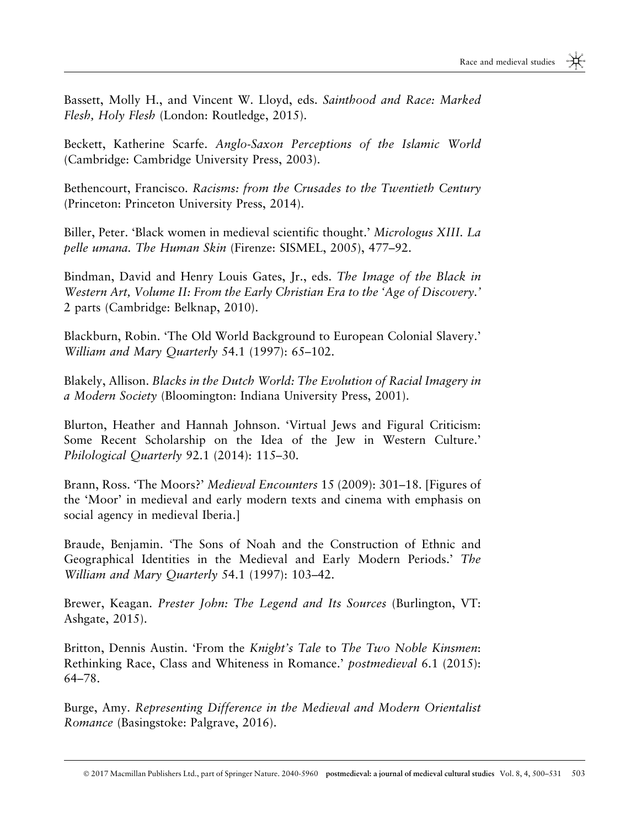Bassett, Molly H., and Vincent W. Lloyd, eds. Sainthood and Race: Marked Flesh, Holy Flesh (London: Routledge, 2015).

Beckett, Katherine Scarfe. Anglo-Saxon Perceptions of the Islamic World (Cambridge: Cambridge University Press, 2003).

Bethencourt, Francisco. Racisms: from the Crusades to the Twentieth Century (Princeton: Princeton University Press, 2014).

Biller, Peter. 'Black women in medieval scientific thought.' Micrologus XIII. La pelle umana. The Human Skin (Firenze: SISMEL, 2005), 477–92.

Bindman, David and Henry Louis Gates, Jr., eds. The Image of the Black in Western Art, Volume II: From the Early Christian Era to the 'Age of Discovery.' 2 parts (Cambridge: Belknap, 2010).

Blackburn, Robin. 'The Old World Background to European Colonial Slavery.' William and Mary Quarterly 54.1 (1997): 65–102.

Blakely, Allison. Blacks in the Dutch World: The Evolution of Racial Imagery in a Modern Society (Bloomington: Indiana University Press, 2001).

Blurton, Heather and Hannah Johnson. 'Virtual Jews and Figural Criticism: Some Recent Scholarship on the Idea of the Jew in Western Culture.' Philological Quarterly 92.1 (2014): 115–30.

Brann, Ross. 'The Moors?' Medieval Encounters 15 (2009): 301–18. [Figures of the 'Moor' in medieval and early modern texts and cinema with emphasis on social agency in medieval Iberia.]

Braude, Benjamin. 'The Sons of Noah and the Construction of Ethnic and Geographical Identities in the Medieval and Early Modern Periods.' The William and Mary Quarterly 54.1 (1997): 103–42.

Brewer, Keagan. Prester John: The Legend and Its Sources (Burlington, VT: Ashgate, 2015).

Britton, Dennis Austin. 'From the *Knight's Tale to The Two Noble Kinsmen*: Rethinking Race, Class and Whiteness in Romance.' postmedieval 6.1 (2015): 64–78.

Burge, Amy. Representing Difference in the Medieval and Modern Orientalist Romance (Basingstoke: Palgrave, 2016).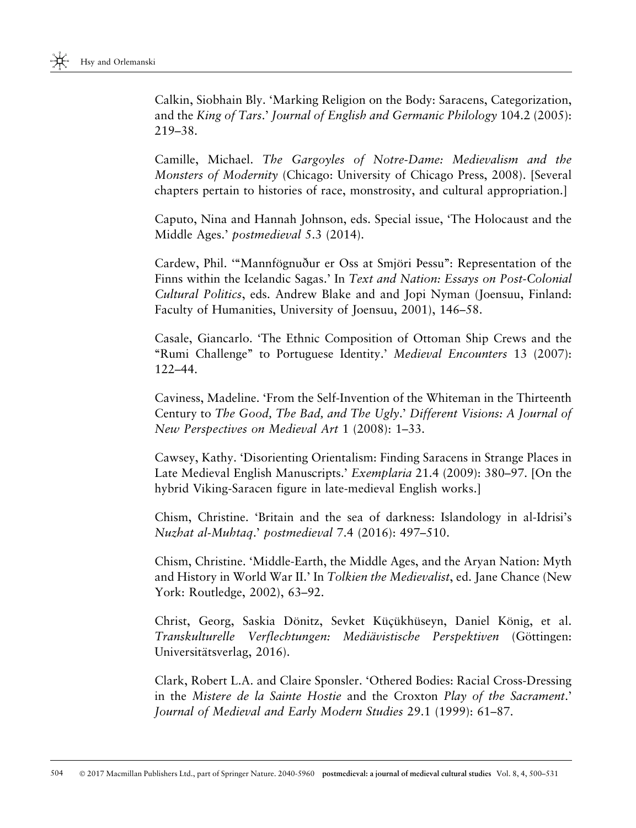Calkin, Siobhain Bly. 'Marking Religion on the Body: Saracens, Categorization, and the King of Tars.' Journal of English and Germanic Philology 104.2 (2005): 219–38.

Camille, Michael. The Gargoyles of Notre-Dame: Medievalism and the Monsters of Modernity (Chicago: University of Chicago Press, 2008). [Several chapters pertain to histories of race, monstrosity, and cultural appropriation.]

Caputo, Nina and Hannah Johnson, eds. Special issue, 'The Holocaust and the Middle Ages.' postmedieval 5.3 (2014).

Cardew, Phil. "Mannfögnuður er Oss at Smjöri Þessu": Representation of the Finns within the Icelandic Sagas.' In Text and Nation: Essays on Post-Colonial Cultural Politics, eds. Andrew Blake and and Jopi Nyman (Joensuu, Finland: Faculty of Humanities, University of Joensuu, 2001), 146–58.

Casale, Giancarlo. 'The Ethnic Composition of Ottoman Ship Crews and the "Rumi Challenge" to Portuguese Identity.' Medieval Encounters 13 (2007): 122–44.

Caviness, Madeline. 'From the Self-Invention of the Whiteman in the Thirteenth Century to The Good, The Bad, and The Ugly.' Different Visions: A Journal of New Perspectives on Medieval Art 1 (2008): 1–33.

Cawsey, Kathy. 'Disorienting Orientalism: Finding Saracens in Strange Places in Late Medieval English Manuscripts.' Exemplaria 21.4 (2009): 380–97. [On the hybrid Viking-Saracen figure in late-medieval English works.]

Chism, Christine. 'Britain and the sea of darkness: Islandology in al-Idrisi's Nuzhat al-Muhtaq.' postmedieval 7.4 (2016): 497–510.

Chism, Christine. 'Middle-Earth, the Middle Ages, and the Aryan Nation: Myth and History in World War II.' In Tolkien the Medievalist, ed. Jane Chance (New York: Routledge, 2002), 63–92.

Christ, Georg, Saskia Dönitz, Sevket Küçükhüseyn, Daniel König, et al. Transkulturelle Verflechtungen: Mediävistische Perspektiven (Göttingen: Universitätsverlag, 2016).

Clark, Robert L.A. and Claire Sponsler. 'Othered Bodies: Racial Cross-Dressing in the Mistere de la Sainte Hostie and the Croxton Play of the Sacrament.' Journal of Medieval and Early Modern Studies 29.1 (1999): 61–87.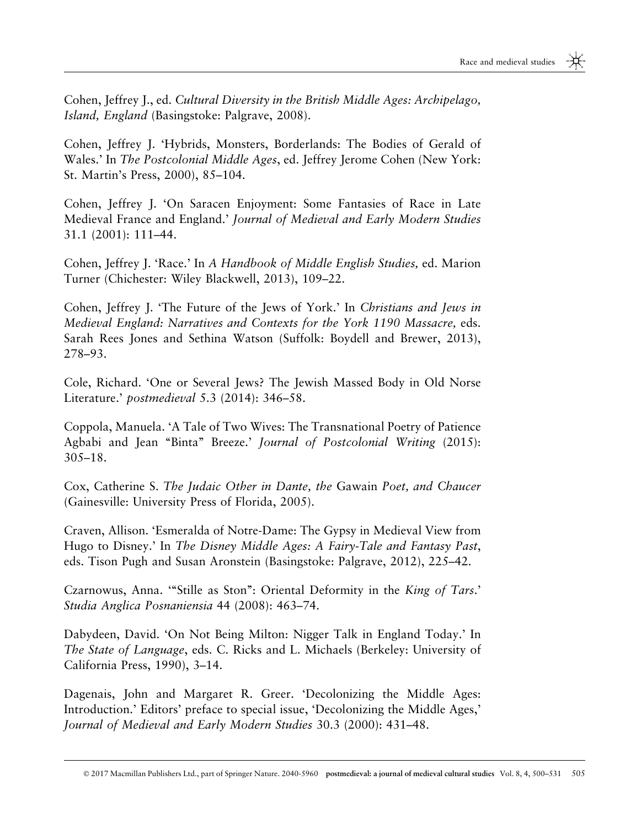Cohen, Jeffrey J., ed. Cultural Diversity in the British Middle Ages: Archipelago, Island, England (Basingstoke: Palgrave, 2008).

Cohen, Jeffrey J. 'Hybrids, Monsters, Borderlands: The Bodies of Gerald of Wales.' In The Postcolonial Middle Ages, ed. Jeffrey Jerome Cohen (New York: St. Martin's Press, 2000), 85–104.

Cohen, Jeffrey J. 'On Saracen Enjoyment: Some Fantasies of Race in Late Medieval France and England.' Journal of Medieval and Early Modern Studies 31.1 (2001): 111–44.

Cohen, Jeffrey J. 'Race.' In A Handbook of Middle English Studies, ed. Marion Turner (Chichester: Wiley Blackwell, 2013), 109–22.

Cohen, Jeffrey J. 'The Future of the Jews of York.' In Christians and Jews in Medieval England: Narratives and Contexts for the York 1190 Massacre, eds. Sarah Rees Jones and Sethina Watson (Suffolk: Boydell and Brewer, 2013), 278–93.

Cole, Richard. 'One or Several Jews? The Jewish Massed Body in Old Norse Literature.' postmedieval 5.3 (2014): 346–58.

Coppola, Manuela. 'A Tale of Two Wives: The Transnational Poetry of Patience Agbabi and Jean "Binta" Breeze.' Journal of Postcolonial Writing (2015): 305–18.

Cox, Catherine S. The Judaic Other in Dante, the Gawain Poet, and Chaucer (Gainesville: University Press of Florida, 2005).

Craven, Allison. 'Esmeralda of Notre-Dame: The Gypsy in Medieval View from Hugo to Disney.' In The Disney Middle Ages: A Fairy-Tale and Fantasy Past, eds. Tison Pugh and Susan Aronstein (Basingstoke: Palgrave, 2012), 225–42.

Czarnowus, Anna. "Stille as Ston": Oriental Deformity in the King of Tars." Studia Anglica Posnaniensia 44 (2008): 463–74.

Dabydeen, David. 'On Not Being Milton: Nigger Talk in England Today.' In The State of Language, eds. C. Ricks and L. Michaels (Berkeley: University of California Press, 1990), 3–14.

Dagenais, John and Margaret R. Greer. 'Decolonizing the Middle Ages: Introduction.' Editors' preface to special issue, 'Decolonizing the Middle Ages,' Journal of Medieval and Early Modern Studies 30.3 (2000): 431–48.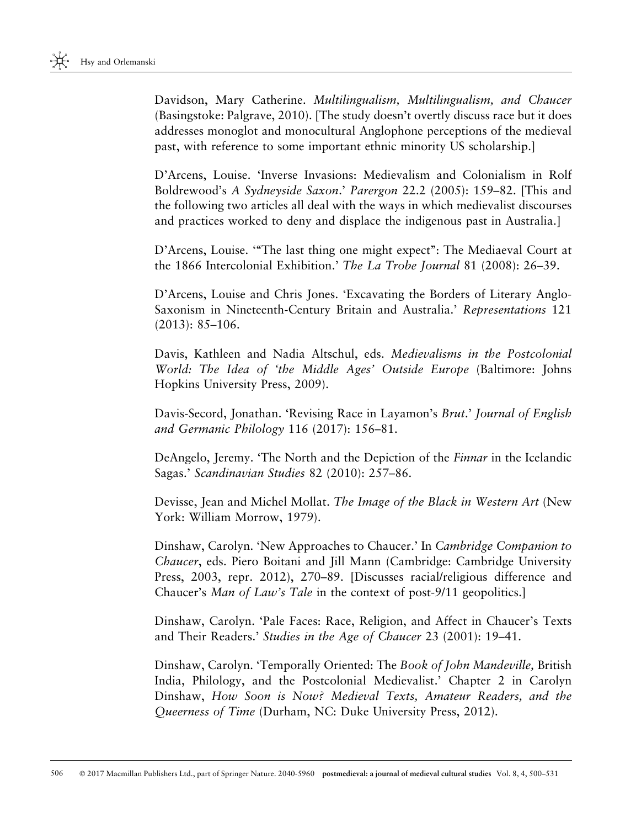Davidson, Mary Catherine. Multilingualism, Multilingualism, and Chaucer (Basingstoke: Palgrave, 2010). [The study doesn't overtly discuss race but it does addresses monoglot and monocultural Anglophone perceptions of the medieval past, with reference to some important ethnic minority US scholarship.]

D'Arcens, Louise. 'Inverse Invasions: Medievalism and Colonialism in Rolf Boldrewood's A Sydneyside Saxon.' Parergon 22.2 (2005): 159–82. [This and the following two articles all deal with the ways in which medievalist discourses and practices worked to deny and displace the indigenous past in Australia.]

D'Arcens, Louise. "The last thing one might expect": The Mediaeval Court at the 1866 Intercolonial Exhibition.' The La Trobe Journal 81 (2008): 26–39.

D'Arcens, Louise and Chris Jones. 'Excavating the Borders of Literary Anglo-Saxonism in Nineteenth-Century Britain and Australia.' Representations 121 (2013): 85–106.

Davis, Kathleen and Nadia Altschul, eds. Medievalisms in the Postcolonial World: The Idea of 'the Middle Ages' Outside Europe (Baltimore: Johns Hopkins University Press, 2009).

Davis-Secord, Jonathan. 'Revising Race in Layamon's Brut.' Journal of English and Germanic Philology 116 (2017): 156–81.

DeAngelo, Jeremy. 'The North and the Depiction of the *Finnar* in the Icelandic Sagas.' Scandinavian Studies 82 (2010): 257–86.

Devisse, Jean and Michel Mollat. The Image of the Black in Western Art (New York: William Morrow, 1979).

Dinshaw, Carolyn. 'New Approaches to Chaucer.' In Cambridge Companion to Chaucer, eds. Piero Boitani and Jill Mann (Cambridge: Cambridge University Press, 2003, repr. 2012), 270–89. [Discusses racial/religious difference and Chaucer's Man of Law's Tale in the context of post-9/11 geopolitics.

Dinshaw, Carolyn. 'Pale Faces: Race, Religion, and Affect in Chaucer's Texts and Their Readers.' Studies in the Age of Chaucer 23 (2001): 19–41.

Dinshaw, Carolyn. 'Temporally Oriented: The Book of John Mandeville, British India, Philology, and the Postcolonial Medievalist.' Chapter 2 in Carolyn Dinshaw, How Soon is Now? Medieval Texts, Amateur Readers, and the Queerness of Time (Durham, NC: Duke University Press, 2012).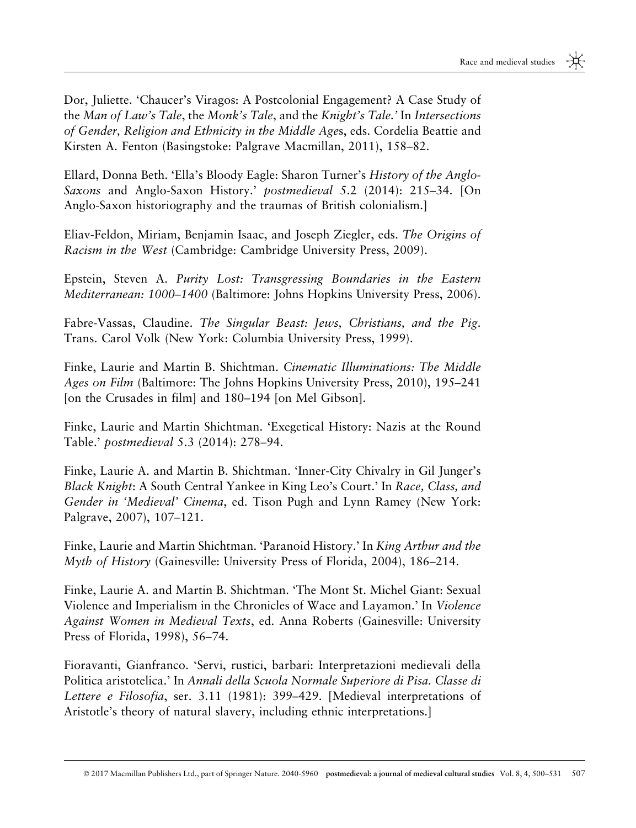Dor, Juliette. 'Chaucer's Viragos: A Postcolonial Engagement? A Case Study of the Man of Law's Tale, the Monk's Tale, and the Knight's Tale.' In Intersections of Gender, Religion and Ethnicity in the Middle Ages, eds. Cordelia Beattie and Kirsten A. Fenton (Basingstoke: Palgrave Macmillan, 2011), 158–82.

Ellard, Donna Beth. 'Ella's Bloody Eagle: Sharon Turner's History of the Anglo-Saxons and Anglo-Saxon History.' postmedieval 5.2 (2014): 215–34. [On Anglo-Saxon historiography and the traumas of British colonialism.]

Eliav-Feldon, Miriam, Benjamin Isaac, and Joseph Ziegler, eds. The Origins of Racism in the West (Cambridge: Cambridge University Press, 2009).

Epstein, Steven A. Purity Lost: Transgressing Boundaries in the Eastern Mediterranean: 1000–1400 (Baltimore: Johns Hopkins University Press, 2006).

Fabre-Vassas, Claudine. The Singular Beast: Jews, Christians, and the Pig. Trans. Carol Volk (New York: Columbia University Press, 1999).

Finke, Laurie and Martin B. Shichtman. Cinematic Illuminations: The Middle Ages on Film (Baltimore: The Johns Hopkins University Press, 2010), 195–241 [on the Crusades in film] and 180–194 [on Mel Gibson].

Finke, Laurie and Martin Shichtman. 'Exegetical History: Nazis at the Round Table.' postmedieval 5.3 (2014): 278–94.

Finke, Laurie A. and Martin B. Shichtman. 'Inner-City Chivalry in Gil Junger's Black Knight: A South Central Yankee in King Leo's Court.' In Race, Class, and Gender in 'Medieval' Cinema, ed. Tison Pugh and Lynn Ramey (New York: Palgrave, 2007), 107–121.

Finke, Laurie and Martin Shichtman. 'Paranoid History.' In King Arthur and the Myth of History (Gainesville: University Press of Florida, 2004), 186–214.

Finke, Laurie A. and Martin B. Shichtman. 'The Mont St. Michel Giant: Sexual Violence and Imperialism in the Chronicles of Wace and Layamon.' In Violence Against Women in Medieval Texts, ed. Anna Roberts (Gainesville: University Press of Florida, 1998), 56–74.

Fioravanti, Gianfranco. 'Servi, rustici, barbari: Interpretazioni medievali della Politica aristotelica.' In Annali della Scuola Normale Superiore di Pisa. Classe di Lettere e Filosofia, ser. 3.11 (1981): 399–429. [Medieval interpretations of Aristotle's theory of natural slavery, including ethnic interpretations.]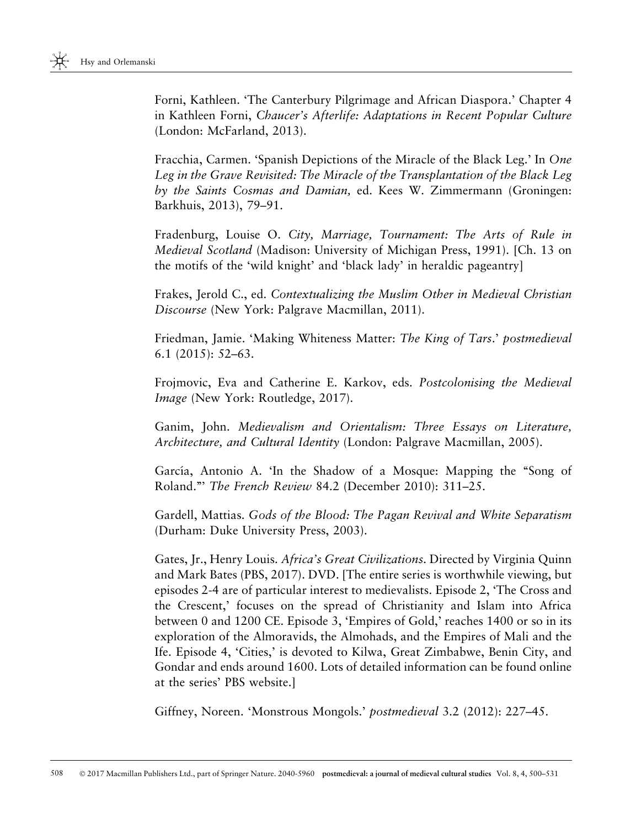Forni, Kathleen. 'The Canterbury Pilgrimage and African Diaspora.' Chapter 4 in Kathleen Forni, Chaucer's Afterlife: Adaptations in Recent Popular Culture (London: McFarland, 2013).

Fracchia, Carmen. 'Spanish Depictions of the Miracle of the Black Leg.' In One Leg in the Grave Revisited: The Miracle of the Transplantation of the Black Leg by the Saints Cosmas and Damian, ed. Kees W. Zimmermann (Groningen: Barkhuis, 2013), 79–91.

Fradenburg, Louise O. City, Marriage, Tournament: The Arts of Rule in Medieval Scotland (Madison: University of Michigan Press, 1991). [Ch. 13 on the motifs of the 'wild knight' and 'black lady' in heraldic pageantry]

Frakes, Jerold C., ed. Contextualizing the Muslim Other in Medieval Christian Discourse (New York: Palgrave Macmillan, 2011).

Friedman, Jamie. 'Making Whiteness Matter: The King of Tars.' postmedieval 6.1 (2015): 52–63.

Frojmovic, Eva and Catherine E. Karkov, eds. Postcolonising the Medieval Image (New York: Routledge, 2017).

Ganim, John. Medievalism and Orientalism: Three Essays on Literature, Architecture, and Cultural Identity (London: Palgrave Macmillan, 2005).

García, Antonio A. 'In the Shadow of a Mosque: Mapping the "Song of Roland.''' The French Review 84.2 (December 2010): 311–25.

Gardell, Mattias. Gods of the Blood: The Pagan Revival and White Separatism (Durham: Duke University Press, 2003).

Gates, Jr., Henry Louis. Africa's Great Civilizations. Directed by Virginia Quinn and Mark Bates (PBS, 2017). DVD. [The entire series is worthwhile viewing, but episodes 2-4 are of particular interest to medievalists. Episode 2, 'The Cross and the Crescent,' focuses on the spread of Christianity and Islam into Africa between 0 and 1200 CE. Episode 3, 'Empires of Gold,' reaches 1400 or so in its exploration of the Almoravids, the Almohads, and the Empires of Mali and the Ife. Episode 4, 'Cities,' is devoted to Kilwa, Great Zimbabwe, Benin City, and Gondar and ends around 1600. Lots of detailed information can be found online at the series' PBS website.]

Giffney, Noreen. 'Monstrous Mongols.' postmedieval 3.2 (2012): 227–45.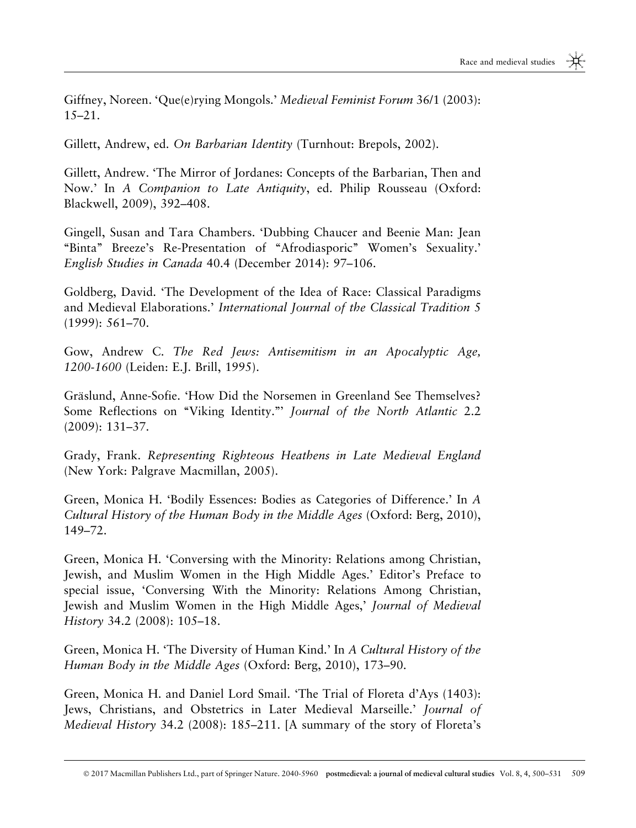Giffney, Noreen. 'Que(e)rying Mongols.' Medieval Feminist Forum 36/1 (2003): 15–21.

Gillett, Andrew, ed. On Barbarian Identity (Turnhout: Brepols, 2002).

Gillett, Andrew. 'The Mirror of Jordanes: Concepts of the Barbarian, Then and Now.' In A Companion to Late Antiquity, ed. Philip Rousseau (Oxford: Blackwell, 2009), 392–408.

Gingell, Susan and Tara Chambers. 'Dubbing Chaucer and Beenie Man: Jean ''Binta'' Breeze's Re-Presentation of ''Afrodiasporic'' Women's Sexuality.' English Studies in Canada 40.4 (December 2014): 97–106.

Goldberg, David. 'The Development of the Idea of Race: Classical Paradigms and Medieval Elaborations.' International Journal of the Classical Tradition 5 (1999): 561–70.

Gow, Andrew C. The Red Jews: Antisemitism in an Apocalyptic Age, 1200-1600 (Leiden: E.J. Brill, 1995).

Gräslund, Anne-Sofie. 'How Did the Norsemen in Greenland See Themselves? Some Reflections on "Viking Identity."' Journal of the North Atlantic 2.2 (2009): 131–37.

Grady, Frank. Representing Righteous Heathens in Late Medieval England (New York: Palgrave Macmillan, 2005).

Green, Monica H. 'Bodily Essences: Bodies as Categories of Difference.' In A Cultural History of the Human Body in the Middle Ages (Oxford: Berg, 2010), 149–72.

Green, Monica H. 'Conversing with the Minority: Relations among Christian, Jewish, and Muslim Women in the High Middle Ages.' Editor's Preface to special issue, 'Conversing With the Minority: Relations Among Christian, Jewish and Muslim Women in the High Middle Ages,' Journal of Medieval History 34.2 (2008): 105–18.

Green, Monica H. 'The Diversity of Human Kind.' In A Cultural History of the Human Body in the Middle Ages (Oxford: Berg, 2010), 173–90.

Green, Monica H. and Daniel Lord Smail. 'The Trial of Floreta d'Ays (1403): Jews, Christians, and Obstetrics in Later Medieval Marseille.' Journal of Medieval History 34.2 (2008): 185–211. [A summary of the story of Floreta's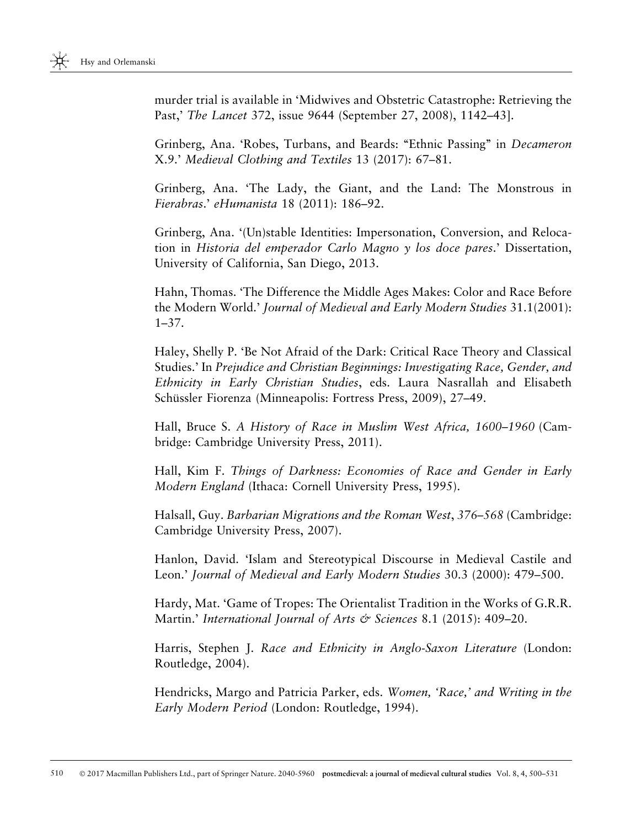murder trial is available in 'Midwives and Obstetric Catastrophe: Retrieving the Past,' The Lancet 372, issue 9644 (September 27, 2008), 1142–43].

Grinberg, Ana. 'Robes, Turbans, and Beards: "Ethnic Passing" in *Decameron* X.9.' Medieval Clothing and Textiles 13 (2017): 67–81.

Grinberg, Ana. 'The Lady, the Giant, and the Land: The Monstrous in Fierabras.' eHumanista 18 (2011): 186–92.

Grinberg, Ana. '(Un)stable Identities: Impersonation, Conversion, and Relocation in Historia del emperador Carlo Magno  $\gamma$  los doce pares.' Dissertation, University of California, San Diego, 2013.

Hahn, Thomas. 'The Difference the Middle Ages Makes: Color and Race Before the Modern World.' Journal of Medieval and Early Modern Studies 31.1(2001): 1–37.

Haley, Shelly P. 'Be Not Afraid of the Dark: Critical Race Theory and Classical Studies.' In Prejudice and Christian Beginnings: Investigating Race, Gender, and Ethnicity in Early Christian Studies, eds. Laura Nasrallah and Elisabeth Schüssler Fiorenza (Minneapolis: Fortress Press, 2009), 27–49.

Hall, Bruce S. A History of Race in Muslim West Africa, 1600–1960 (Cambridge: Cambridge University Press, 2011).

Hall, Kim F. Things of Darkness: Economies of Race and Gender in Early Modern England (Ithaca: Cornell University Press, 1995).

Halsall, Guy. Barbarian Migrations and the Roman West, 376–568 (Cambridge: Cambridge University Press, 2007).

Hanlon, David. 'Islam and Stereotypical Discourse in Medieval Castile and Leon.' Journal of Medieval and Early Modern Studies 30.3 (2000): 479–500.

Hardy, Mat. 'Game of Tropes: The Orientalist Tradition in the Works of G.R.R. Martin.' International Journal of Arts & Sciences 8.1 (2015): 409–20.

Harris, Stephen J. Race and Ethnicity in Anglo-Saxon Literature (London: Routledge, 2004).

Hendricks, Margo and Patricia Parker, eds. Women, 'Race,' and Writing in the Early Modern Period (London: Routledge, 1994).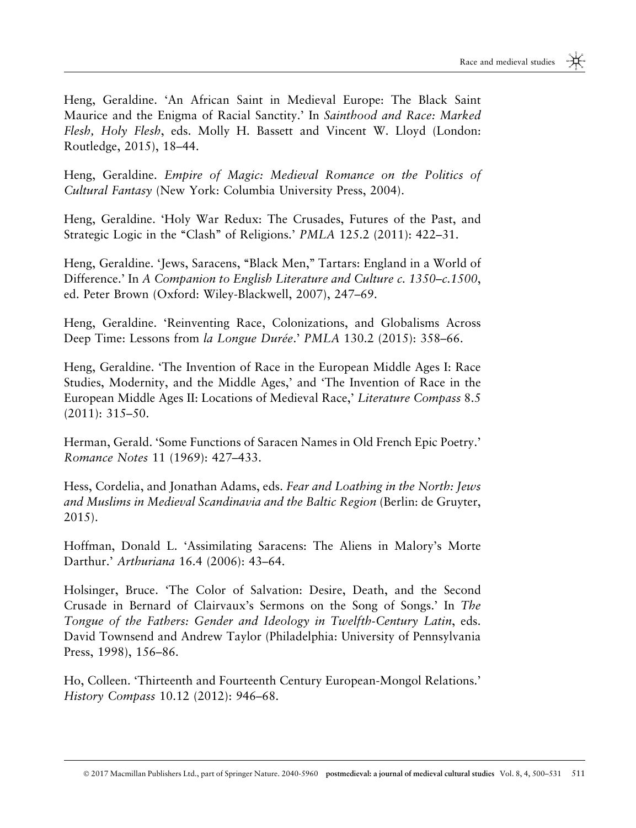Heng, Geraldine. 'An African Saint in Medieval Europe: The Black Saint Maurice and the Enigma of Racial Sanctity.' In Sainthood and Race: Marked Flesh, Holy Flesh, eds. Molly H. Bassett and Vincent W. Lloyd (London: Routledge, 2015), 18–44.

Heng, Geraldine. Empire of Magic: Medieval Romance on the Politics of Cultural Fantasy (New York: Columbia University Press, 2004).

Heng, Geraldine. 'Holy War Redux: The Crusades, Futures of the Past, and Strategic Logic in the "Clash" of Religions.' *PMLA*  $125.2$  (2011):  $422-31$ .

Heng, Geraldine. 'Jews, Saracens, "Black Men," Tartars: England in a World of Difference.' In A Companion to English Literature and Culture c. 1350–c.1500, ed. Peter Brown (Oxford: Wiley-Blackwell, 2007), 247–69.

Heng, Geraldine. 'Reinventing Race, Colonizations, and Globalisms Across Deep Time: Lessons from *la Longue Durée.*' PMLA 130.2 (2015): 358–66.

Heng, Geraldine. 'The Invention of Race in the European Middle Ages I: Race Studies, Modernity, and the Middle Ages,' and 'The Invention of Race in the European Middle Ages II: Locations of Medieval Race,' Literature Compass 8.5 (2011): 315–50.

Herman, Gerald. 'Some Functions of Saracen Names in Old French Epic Poetry.' Romance Notes 11 (1969): 427–433.

Hess, Cordelia, and Jonathan Adams, eds. Fear and Loathing in the North: Jews and Muslims in Medieval Scandinavia and the Baltic Region (Berlin: de Gruyter, 2015).

Hoffman, Donald L. 'Assimilating Saracens: The Aliens in Malory's Morte Darthur.' Arthuriana 16.4 (2006): 43–64.

Holsinger, Bruce. 'The Color of Salvation: Desire, Death, and the Second Crusade in Bernard of Clairvaux's Sermons on the Song of Songs.' In The Tongue of the Fathers: Gender and Ideology in Twelfth-Century Latin, eds. David Townsend and Andrew Taylor (Philadelphia: University of Pennsylvania Press, 1998), 156–86.

Ho, Colleen. 'Thirteenth and Fourteenth Century European-Mongol Relations.' History Compass 10.12 (2012): 946–68.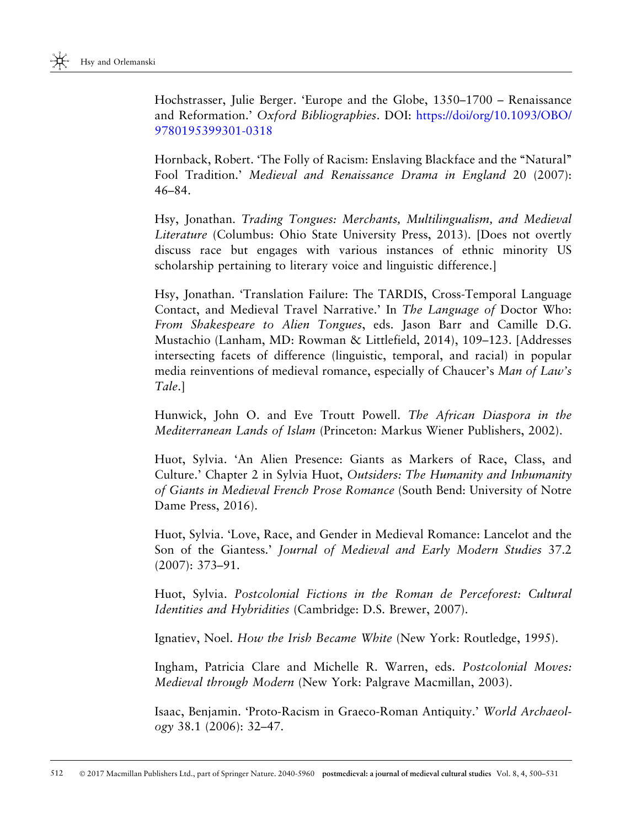Hochstrasser, Julie Berger. 'Europe and the Globe, 1350–1700 – Renaissance and Reformation.' Oxford Bibliographies. DOI: [https://doi/org/10.1093/OBO/](http://dx.doi.org/10.1093/OBO/9780195399301-0318) [9780195399301-0318](http://dx.doi.org/10.1093/OBO/9780195399301-0318)

Hornback, Robert. 'The Folly of Racism: Enslaving Blackface and the ''Natural'' Fool Tradition.' Medieval and Renaissance Drama in England 20 (2007): 46–84.

Hsy, Jonathan. Trading Tongues: Merchants, Multilingualism, and Medieval Literature (Columbus: Ohio State University Press, 2013). [Does not overtly discuss race but engages with various instances of ethnic minority US scholarship pertaining to literary voice and linguistic difference.]

Hsy, Jonathan. 'Translation Failure: The TARDIS, Cross-Temporal Language Contact, and Medieval Travel Narrative.' In The Language of Doctor Who: From Shakespeare to Alien Tongues, eds. Jason Barr and Camille D.G. Mustachio (Lanham, MD: Rowman & Littlefield, 2014), 109–123. [Addresses intersecting facets of difference (linguistic, temporal, and racial) in popular media reinventions of medieval romance, especially of Chaucer's Man of Law's Tale.]

Hunwick, John O. and Eve Troutt Powell. The African Diaspora in the Mediterranean Lands of Islam (Princeton: Markus Wiener Publishers, 2002).

Huot, Sylvia. 'An Alien Presence: Giants as Markers of Race, Class, and Culture.' Chapter 2 in Sylvia Huot, Outsiders: The Humanity and Inhumanity of Giants in Medieval French Prose Romance (South Bend: University of Notre Dame Press, 2016).

Huot, Sylvia. 'Love, Race, and Gender in Medieval Romance: Lancelot and the Son of the Giantess.' Journal of Medieval and Early Modern Studies 37.2 (2007): 373–91.

Huot, Sylvia. Postcolonial Fictions in the Roman de Perceforest: Cultural Identities and Hybridities (Cambridge: D.S. Brewer, 2007).

Ignatiev, Noel. How the Irish Became White (New York: Routledge, 1995).

Ingham, Patricia Clare and Michelle R. Warren, eds. Postcolonial Moves: Medieval through Modern (New York: Palgrave Macmillan, 2003).

Isaac, Benjamin. 'Proto-Racism in Graeco-Roman Antiquity.' World Archaeology 38.1 (2006): 32–47.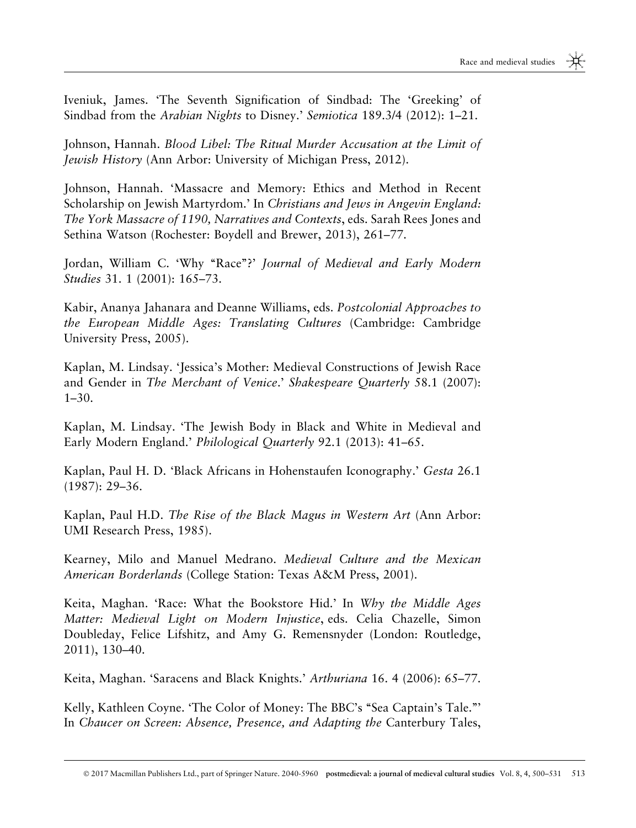Iveniuk, James. 'The Seventh Signification of Sindbad: The 'Greeking' of Sindbad from the Arabian Nights to Disney.' Semiotica 189.3/4 (2012): 1–21.

Johnson, Hannah. Blood Libel: The Ritual Murder Accusation at the Limit of Jewish History (Ann Arbor: University of Michigan Press, 2012).

Johnson, Hannah. 'Massacre and Memory: Ethics and Method in Recent Scholarship on Jewish Martyrdom.' In Christians and Jews in Angevin England: The York Massacre of 1190, Narratives and Contexts, eds. Sarah Rees Jones and Sethina Watson (Rochester: Boydell and Brewer, 2013), 261–77.

Jordan, William C. 'Why "Race"?' Journal of Medieval and Early Modern Studies 31. 1 (2001): 165–73.

Kabir, Ananya Jahanara and Deanne Williams, eds. Postcolonial Approaches to the European Middle Ages: Translating Cultures (Cambridge: Cambridge University Press, 2005).

Kaplan, M. Lindsay. 'Jessica's Mother: Medieval Constructions of Jewish Race and Gender in The Merchant of Venice.' Shakespeare Quarterly 58.1 (2007): 1–30.

Kaplan, M. Lindsay. 'The Jewish Body in Black and White in Medieval and Early Modern England.' Philological Quarterly 92.1 (2013): 41–65.

Kaplan, Paul H. D. 'Black Africans in Hohenstaufen Iconography.' Gesta 26.1 (1987): 29–36.

Kaplan, Paul H.D. The Rise of the Black Magus in Western Art (Ann Arbor: UMI Research Press, 1985).

Kearney, Milo and Manuel Medrano. Medieval Culture and the Mexican American Borderlands (College Station: Texas A&M Press, 2001).

Keita, Maghan. 'Race: What the Bookstore Hid.' In Why the Middle Ages Matter: Medieval Light on Modern Injustice, eds. Celia Chazelle, Simon Doubleday, Felice Lifshitz, and Amy G. Remensnyder (London: Routledge, 2011), 130–40.

Keita, Maghan. 'Saracens and Black Knights.' Arthuriana 16. 4 (2006): 65–77.

Kelly, Kathleen Coyne. 'The Color of Money: The BBC's "Sea Captain's Tale."' In Chaucer on Screen: Absence, Presence, and Adapting the Canterbury Tales,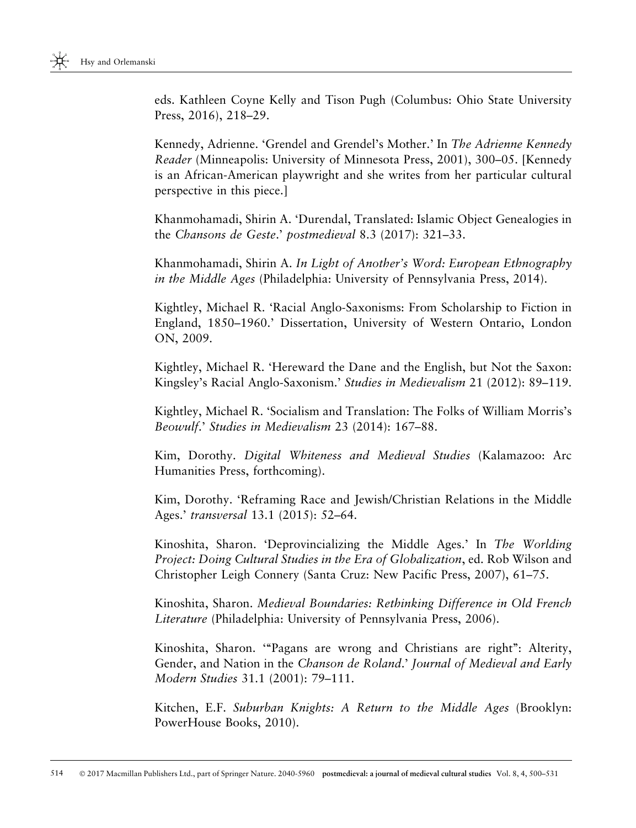eds. Kathleen Coyne Kelly and Tison Pugh (Columbus: Ohio State University Press, 2016), 218–29.

Kennedy, Adrienne. 'Grendel and Grendel's Mother.' In The Adrienne Kennedy Reader (Minneapolis: University of Minnesota Press, 2001), 300–05. [Kennedy is an African-American playwright and she writes from her particular cultural perspective in this piece.]

Khanmohamadi, Shirin A. 'Durendal, Translated: Islamic Object Genealogies in the Chansons de Geste.' postmedieval 8.3 (2017): 321–33.

Khanmohamadi, Shirin A. In Light of Another's Word: European Ethnography in the Middle Ages (Philadelphia: University of Pennsylvania Press, 2014).

Kightley, Michael R. 'Racial Anglo-Saxonisms: From Scholarship to Fiction in England, 1850–1960.' Dissertation, University of Western Ontario, London ON, 2009.

Kightley, Michael R. 'Hereward the Dane and the English, but Not the Saxon: Kingsley's Racial Anglo-Saxonism.' Studies in Medievalism 21 (2012): 89–119.

Kightley, Michael R. 'Socialism and Translation: The Folks of William Morris's Beowulf.' Studies in Medievalism 23 (2014): 167–88.

Kim, Dorothy. Digital Whiteness and Medieval Studies (Kalamazoo: Arc Humanities Press, forthcoming).

Kim, Dorothy. 'Reframing Race and Jewish/Christian Relations in the Middle Ages.' transversal 13.1 (2015): 52–64.

Kinoshita, Sharon. 'Deprovincializing the Middle Ages.' In The Worlding Project: Doing Cultural Studies in the Era of Globalization, ed. Rob Wilson and Christopher Leigh Connery (Santa Cruz: New Pacific Press, 2007), 61–75.

Kinoshita, Sharon. Medieval Boundaries: Rethinking Difference in Old French Literature (Philadelphia: University of Pennsylvania Press, 2006).

Kinoshita, Sharon. "Pagans are wrong and Christians are right": Alterity, Gender, and Nation in the Chanson de Roland.' Journal of Medieval and Early Modern Studies 31.1 (2001): 79–111.

Kitchen, E.F. Suburban Knights: A Return to the Middle Ages (Brooklyn: PowerHouse Books, 2010).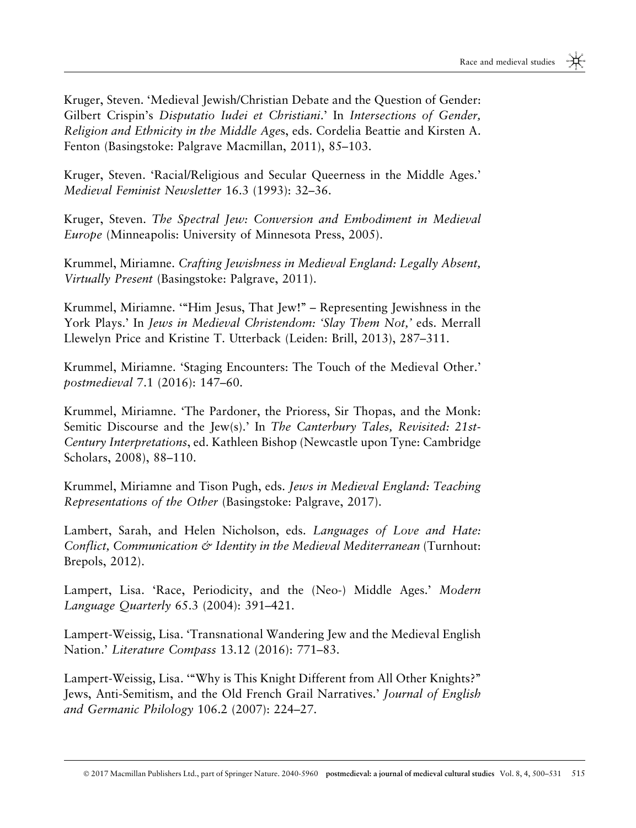Kruger, Steven. 'Medieval Jewish/Christian Debate and the Question of Gender: Gilbert Crispin's Disputatio Iudei et Christiani.' In Intersections of Gender, Religion and Ethnicity in the Middle Ages, eds. Cordelia Beattie and Kirsten A. Fenton (Basingstoke: Palgrave Macmillan, 2011), 85–103.

Kruger, Steven. 'Racial/Religious and Secular Queerness in the Middle Ages.' Medieval Feminist Newsletter 16.3 (1993): 32–36.

Kruger, Steven. The Spectral Jew: Conversion and Embodiment in Medieval Europe (Minneapolis: University of Minnesota Press, 2005).

Krummel, Miriamne. Crafting Jewishness in Medieval England: Legally Absent, Virtually Present (Basingstoke: Palgrave, 2011).

Krummel, Miriamne. "Him Jesus, That Jew!" – Representing Jewishness in the York Plays.' In Jews in Medieval Christendom: 'Slay Them Not,' eds. Merrall Llewelyn Price and Kristine T. Utterback (Leiden: Brill, 2013), 287–311.

Krummel, Miriamne. 'Staging Encounters: The Touch of the Medieval Other.' postmedieval 7.1 (2016): 147–60.

Krummel, Miriamne. 'The Pardoner, the Prioress, Sir Thopas, and the Monk: Semitic Discourse and the Jew(s).' In The Canterbury Tales, Revisited: 21st-Century Interpretations, ed. Kathleen Bishop (Newcastle upon Tyne: Cambridge Scholars, 2008), 88–110.

Krummel, Miriamne and Tison Pugh, eds. Jews in Medieval England: Teaching Representations of the Other (Basingstoke: Palgrave, 2017).

Lambert, Sarah, and Helen Nicholson, eds. Languages of Love and Hate: Conflict, Communication & Identity in the Medieval Mediterranean (Turnhout: Brepols, 2012).

Lampert, Lisa. 'Race, Periodicity, and the (Neo-) Middle Ages.' Modern Language Quarterly 65.3 (2004): 391–421.

Lampert-Weissig, Lisa. 'Transnational Wandering Jew and the Medieval English Nation.' Literature Compass 13.12 (2016): 771–83.

Lampert-Weissig, Lisa. '''Why is This Knight Different from All Other Knights?'' Jews, Anti-Semitism, and the Old French Grail Narratives.' Journal of English and Germanic Philology 106.2 (2007): 224–27.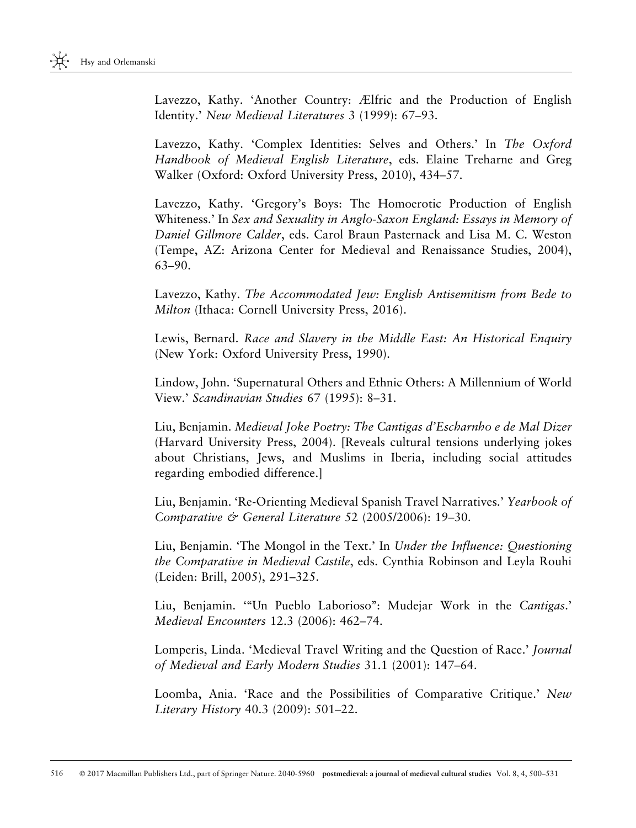

Lavezzo, Kathy. 'Another Country: Ælfric and the Production of English Identity.' New Medieval Literatures 3 (1999): 67–93.

Lavezzo, Kathy. 'Complex Identities: Selves and Others.' In The Oxford Handbook of Medieval English Literature, eds. Elaine Treharne and Greg Walker (Oxford: Oxford University Press, 2010), 434–57.

Lavezzo, Kathy. 'Gregory's Boys: The Homoerotic Production of English Whiteness.' In Sex and Sexuality in Anglo-Saxon England: Essays in Memory of Daniel Gillmore Calder, eds. Carol Braun Pasternack and Lisa M. C. Weston (Tempe, AZ: Arizona Center for Medieval and Renaissance Studies, 2004), 63–90.

Lavezzo, Kathy. The Accommodated Jew: English Antisemitism from Bede to Milton (Ithaca: Cornell University Press, 2016).

Lewis, Bernard. Race and Slavery in the Middle East: An Historical Enquiry (New York: Oxford University Press, 1990).

Lindow, John. 'Supernatural Others and Ethnic Others: A Millennium of World View.' Scandinavian Studies 67 (1995): 8–31.

Liu, Benjamin. Medieval Joke Poetry: The Cantigas d'Escharnho e de Mal Dizer (Harvard University Press, 2004). [Reveals cultural tensions underlying jokes about Christians, Jews, and Muslims in Iberia, including social attitudes regarding embodied difference.]

Liu, Benjamin. 'Re-Orienting Medieval Spanish Travel Narratives.' Yearbook of Comparative & General Literature 52 (2005/2006): 19–30.

Liu, Benjamin. 'The Mongol in the Text.' In Under the Influence: Questioning the Comparative in Medieval Castile, eds. Cynthia Robinson and Leyla Rouhi (Leiden: Brill, 2005), 291–325.

Liu, Benjamin. "Un Pueblo Laborioso": Mudejar Work in the Cantigas.' Medieval Encounters 12.3 (2006): 462–74.

Lomperis, Linda. 'Medieval Travel Writing and the Question of Race.' Journal of Medieval and Early Modern Studies 31.1 (2001): 147–64.

Loomba, Ania. 'Race and the Possibilities of Comparative Critique.' New Literary History 40.3 (2009): 501–22.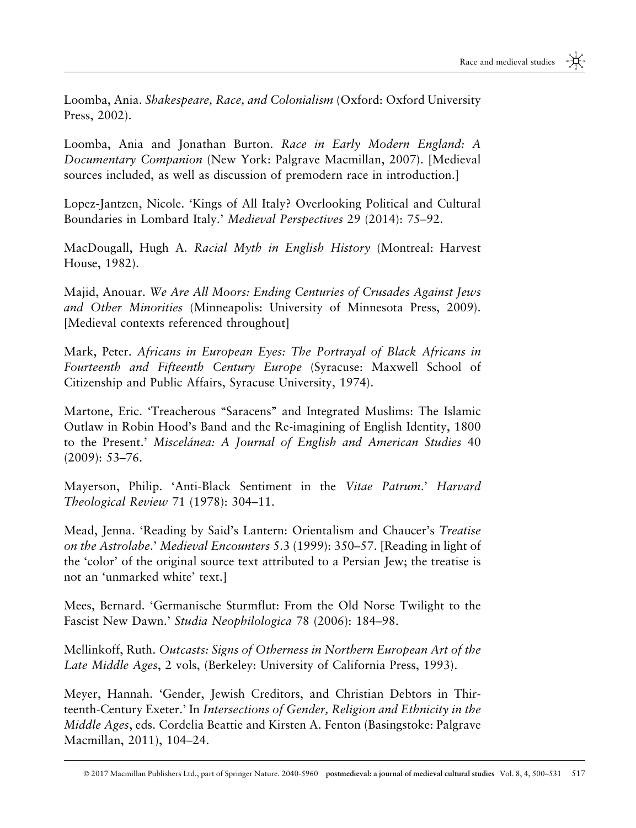Loomba, Ania. Shakespeare, Race, and Colonialism (Oxford: Oxford University Press, 2002).

Loomba, Ania and Jonathan Burton. Race in Early Modern England: A Documentary Companion (New York: Palgrave Macmillan, 2007). [Medieval sources included, as well as discussion of premodern race in introduction.]

Lopez-Jantzen, Nicole. 'Kings of All Italy? Overlooking Political and Cultural Boundaries in Lombard Italy.' Medieval Perspectives 29 (2014): 75–92.

MacDougall, Hugh A. Racial Myth in English History (Montreal: Harvest House, 1982).

Majid, Anouar. We Are All Moors: Ending Centuries of Crusades Against Jews and Other Minorities (Minneapolis: University of Minnesota Press, 2009). [Medieval contexts referenced throughout]

Mark, Peter. Africans in European Eyes: The Portrayal of Black Africans in Fourteenth and Fifteenth Century Europe (Syracuse: Maxwell School of Citizenship and Public Affairs, Syracuse University, 1974).

Martone, Eric. 'Treacherous "Saracens" and Integrated Muslims: The Islamic Outlaw in Robin Hood's Band and the Re-imagining of English Identity, 1800 to the Present.' Miscelánea: A Journal of English and American Studies 40 (2009): 53–76.

Mayerson, Philip. 'Anti-Black Sentiment in the Vitae Patrum.' Harvard Theological Review 71 (1978): 304–11.

Mead, Jenna. 'Reading by Said's Lantern: Orientalism and Chaucer's Treatise on the Astrolabe.' Medieval Encounters 5.3 (1999): 350–57. [Reading in light of the 'color' of the original source text attributed to a Persian Jew; the treatise is not an 'unmarked white' text.]

Mees, Bernard. 'Germanische Sturmflut: From the Old Norse Twilight to the Fascist New Dawn.' Studia Neophilologica 78 (2006): 184–98.

Mellinkoff, Ruth. Outcasts: Signs of Otherness in Northern European Art of the Late Middle Ages, 2 vols, (Berkeley: University of California Press, 1993).

Meyer, Hannah. 'Gender, Jewish Creditors, and Christian Debtors in Thirteenth-Century Exeter.' In Intersections of Gender, Religion and Ethnicity in the Middle Ages, eds. Cordelia Beattie and Kirsten A. Fenton (Basingstoke: Palgrave Macmillan, 2011), 104–24.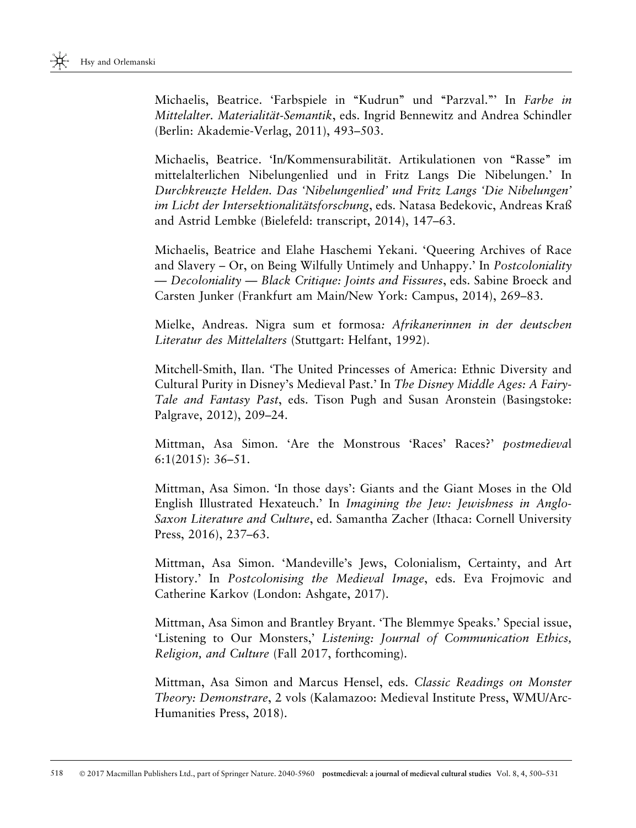Michaelis, Beatrice. 'Farbspiele in "Kudrun" und "Parzval."' In Farbe in Mittelalter. Materialität-Semantik, eds. Ingrid Bennewitz and Andrea Schindler (Berlin: Akademie-Verlag, 2011), 493–503.

Michaelis, Beatrice. 'In/Kommensurabilität. Artikulationen von "Rasse" im mittelalterlichen Nibelungenlied und in Fritz Langs Die Nibelungen.' In Durchkreuzte Helden. Das 'Nibelungenlied' und Fritz Langs 'Die Nibelungen' im Licht der Intersektionalitätsforschung, eds. Natasa Bedekovic, Andreas Kraß and Astrid Lembke (Bielefeld: transcript, 2014), 147–63.

Michaelis, Beatrice and Elahe Haschemi Yekani. 'Queering Archives of Race and Slavery – Or, on Being Wilfully Untimely and Unhappy.' In Postcoloniality — Decoloniality — Black Critique: Joints and Fissures, eds. Sabine Broeck and Carsten Junker (Frankfurt am Main/New York: Campus, 2014), 269–83.

Mielke, Andreas. Nigra sum et formosa: Afrikanerinnen in der deutschen Literatur des Mittelalters (Stuttgart: Helfant, 1992).

Mitchell-Smith, Ilan. 'The United Princesses of America: Ethnic Diversity and Cultural Purity in Disney's Medieval Past.' In The Disney Middle Ages: A Fairy-Tale and Fantasy Past, eds. Tison Pugh and Susan Aronstein (Basingstoke: Palgrave, 2012), 209–24.

Mittman, Asa Simon. 'Are the Monstrous 'Races' Races?' postmedieval 6:1(2015): 36–51.

Mittman, Asa Simon. 'In those days': Giants and the Giant Moses in the Old English Illustrated Hexateuch.' In Imagining the Jew: Jewishness in Anglo-Saxon Literature and Culture, ed. Samantha Zacher (Ithaca: Cornell University Press, 2016), 237–63.

Mittman, Asa Simon. 'Mandeville's Jews, Colonialism, Certainty, and Art History.' In Postcolonising the Medieval Image, eds. Eva Frojmovic and Catherine Karkov (London: Ashgate, 2017).

Mittman, Asa Simon and Brantley Bryant. 'The Blemmye Speaks.' Special issue, 'Listening to Our Monsters,' Listening: Journal of Communication Ethics, Religion, and Culture (Fall 2017, forthcoming).

Mittman, Asa Simon and Marcus Hensel, eds. Classic Readings on Monster Theory: Demonstrare, 2 vols (Kalamazoo: Medieval Institute Press, WMU/Arc-Humanities Press, 2018).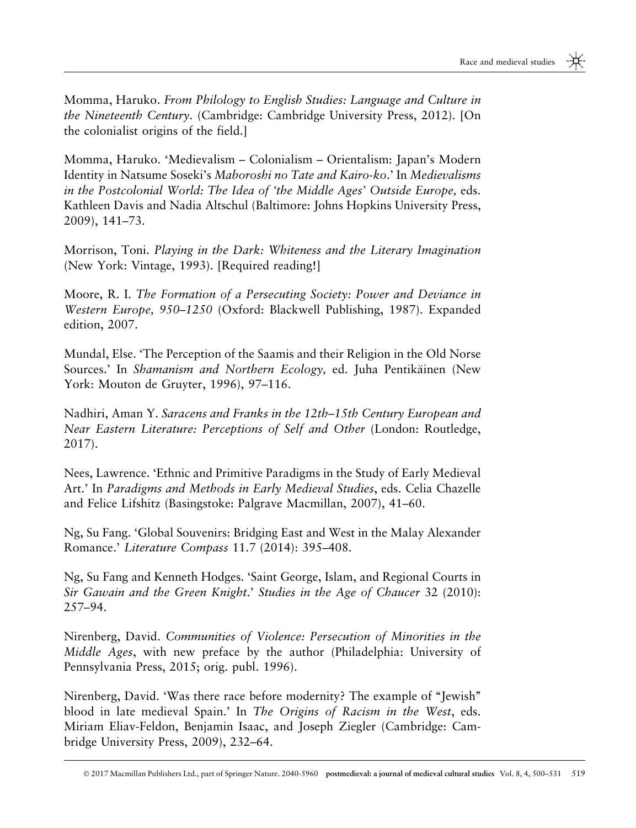Momma, Haruko. From Philology to English Studies: Language and Culture in the Nineteenth Century. (Cambridge: Cambridge University Press, 2012). [On the colonialist origins of the field.]

Momma, Haruko. 'Medievalism – Colonialism – Orientalism: Japan's Modern Identity in Natsume Soseki's Maboroshi no Tate and Kairo-ko.' In Medievalisms in the Postcolonial World: The Idea of 'the Middle Ages' Outside Europe, eds. Kathleen Davis and Nadia Altschul (Baltimore: Johns Hopkins University Press, 2009), 141–73.

Morrison, Toni. Playing in the Dark: Whiteness and the Literary Imagination (New York: Vintage, 1993). [Required reading!]

Moore, R. I. The Formation of a Persecuting Society: Power and Deviance in Western Europe, 950–1250 (Oxford: Blackwell Publishing, 1987). Expanded edition, 2007.

Mundal, Else. 'The Perception of the Saamis and their Religion in the Old Norse Sources.' In Shamanism and Northern Ecology, ed. Juha Pentikäinen (New York: Mouton de Gruyter, 1996), 97–116.

Nadhiri, Aman Y. Saracens and Franks in the 12th–15th Century European and Near Eastern Literature: Perceptions of Self and Other (London: Routledge, 2017).

Nees, Lawrence. 'Ethnic and Primitive Paradigms in the Study of Early Medieval Art.' In Paradigms and Methods in Early Medieval Studies, eds. Celia Chazelle and Felice Lifshitz (Basingstoke: Palgrave Macmillan, 2007), 41–60.

Ng, Su Fang. 'Global Souvenirs: Bridging East and West in the Malay Alexander Romance.' Literature Compass 11.7 (2014): 395–408.

Ng, Su Fang and Kenneth Hodges. 'Saint George, Islam, and Regional Courts in Sir Gawain and the Green Knight.' Studies in the Age of Chaucer 32 (2010): 257–94.

Nirenberg, David. Communities of Violence: Persecution of Minorities in the Middle Ages, with new preface by the author (Philadelphia: University of Pennsylvania Press, 2015; orig. publ. 1996).

Nirenberg, David. 'Was there race before modernity? The example of "Jewish" blood in late medieval Spain.' In The Origins of Racism in the West, eds. Miriam Eliav-Feldon, Benjamin Isaac, and Joseph Ziegler (Cambridge: Cambridge University Press, 2009), 232–64.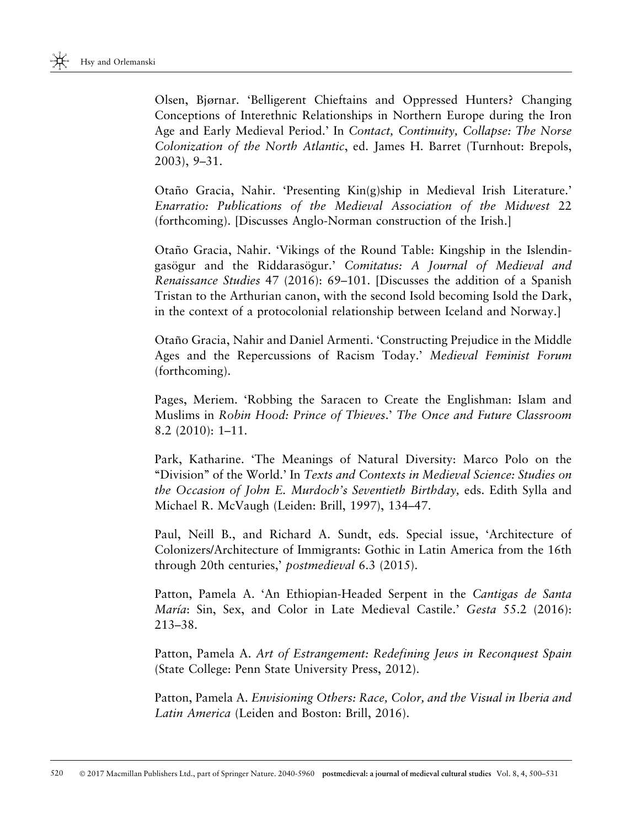Olsen, Bjørnar. 'Belligerent Chieftains and Oppressed Hunters? Changing Conceptions of Interethnic Relationships in Northern Europe during the Iron Age and Early Medieval Period.' In Contact, Continuity, Collapse: The Norse Colonization of the North Atlantic, ed. James H. Barret (Turnhout: Brepols, 2003), 9–31.

Otan˜o Gracia, Nahir. 'Presenting Kin(g)ship in Medieval Irish Literature.' Enarratio: Publications of the Medieval Association of the Midwest 22 (forthcoming). [Discusses Anglo-Norman construction of the Irish.]

Otan˜o Gracia, Nahir. 'Vikings of the Round Table: Kingship in the Islendingasögur and the Riddarasögur.' Comitatus: A Journal of Medieval and Renaissance Studies 47 (2016): 69–101. [Discusses the addition of a Spanish Tristan to the Arthurian canon, with the second Isold becoming Isold the Dark, in the context of a protocolonial relationship between Iceland and Norway.]

Otan˜o Gracia, Nahir and Daniel Armenti. 'Constructing Prejudice in the Middle Ages and the Repercussions of Racism Today.' Medieval Feminist Forum (forthcoming).

Pages, Meriem. 'Robbing the Saracen to Create the Englishman: Islam and Muslims in Robin Hood: Prince of Thieves.' The Once and Future Classroom 8.2 (2010): 1–11.

Park, Katharine. 'The Meanings of Natural Diversity: Marco Polo on the "Division" of the World.' In Texts and Contexts in Medieval Science: Studies on the Occasion of John E. Murdoch's Seventieth Birthday, eds. Edith Sylla and Michael R. McVaugh (Leiden: Brill, 1997), 134–47.

Paul, Neill B., and Richard A. Sundt, eds. Special issue, 'Architecture of Colonizers/Architecture of Immigrants: Gothic in Latin America from the 16th through 20th centuries,' postmedieval 6.3 (2015).

Patton, Pamela A. 'An Ethiopian-Headed Serpent in the Cantigas de Santa María: Sin, Sex, and Color in Late Medieval Castile.' Gesta 55.2 (2016): 213–38.

Patton, Pamela A. Art of Estrangement: Redefining Jews in Reconquest Spain (State College: Penn State University Press, 2012).

Patton, Pamela A. Envisioning Others: Race, Color, and the Visual in Iberia and Latin America (Leiden and Boston: Brill, 2016).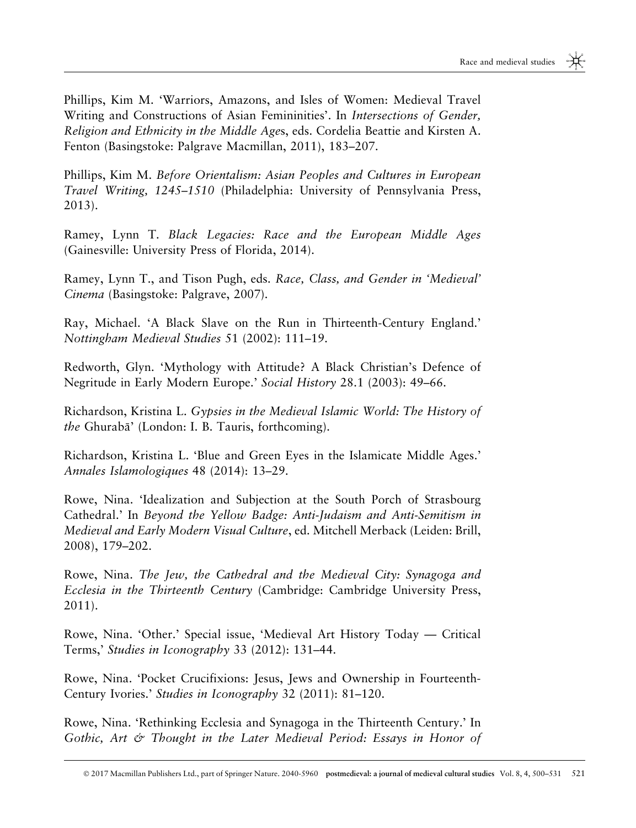Phillips, Kim M. 'Warriors, Amazons, and Isles of Women: Medieval Travel Writing and Constructions of Asian Femininities'. In Intersections of Gender, Religion and Ethnicity in the Middle Ages, eds. Cordelia Beattie and Kirsten A. Fenton (Basingstoke: Palgrave Macmillan, 2011), 183–207.

Phillips, Kim M. Before Orientalism: Asian Peoples and Cultures in European Travel Writing, 1245–1510 (Philadelphia: University of Pennsylvania Press, 2013).

Ramey, Lynn T. Black Legacies: Race and the European Middle Ages (Gainesville: University Press of Florida, 2014).

Ramey, Lynn T., and Tison Pugh, eds. Race, Class, and Gender in 'Medieval' Cinema (Basingstoke: Palgrave, 2007).

Ray, Michael. 'A Black Slave on the Run in Thirteenth-Century England.' Nottingham Medieval Studies 51 (2002): 111–19.

Redworth, Glyn. 'Mythology with Attitude? A Black Christian's Defence of Negritude in Early Modern Europe.' Social History 28.1 (2003): 49–66.

Richardson, Kristina L. Gypsies in the Medieval Islamic World: The History of the Ghurabā' (London: I. B. Tauris, forthcoming).

Richardson, Kristina L. 'Blue and Green Eyes in the Islamicate Middle Ages.' Annales Islamologiques 48 (2014): 13–29.

Rowe, Nina. 'Idealization and Subjection at the South Porch of Strasbourg Cathedral.' In Beyond the Yellow Badge: Anti-Judaism and Anti-Semitism in Medieval and Early Modern Visual Culture, ed. Mitchell Merback (Leiden: Brill, 2008), 179–202.

Rowe, Nina. The Jew, the Cathedral and the Medieval City: Synagoga and Ecclesia in the Thirteenth Century (Cambridge: Cambridge University Press, 2011).

Rowe, Nina. 'Other.' Special issue, 'Medieval Art History Today — Critical Terms,' Studies in Iconography 33 (2012): 131–44.

Rowe, Nina. 'Pocket Crucifixions: Jesus, Jews and Ownership in Fourteenth-Century Ivories.' Studies in Iconography 32 (2011): 81–120.

Rowe, Nina. 'Rethinking Ecclesia and Synagoga in the Thirteenth Century.' In Gothic, Art & Thought in the Later Medieval Period: Essays in Honor of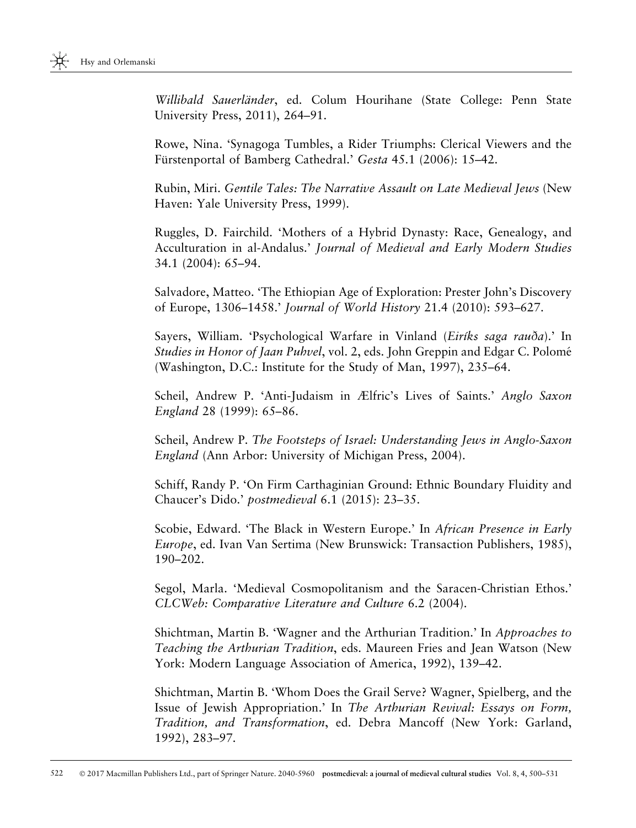Willibald Sauerländer, ed. Colum Hourihane (State College: Penn State University Press, 2011), 264–91.

Rowe, Nina. 'Synagoga Tumbles, a Rider Triumphs: Clerical Viewers and the Fürstenportal of Bamberg Cathedral.' Gesta 45.1 (2006): 15–42.

Rubin, Miri. Gentile Tales: The Narrative Assault on Late Medieval Jews (New Haven: Yale University Press, 1999).

Ruggles, D. Fairchild. 'Mothers of a Hybrid Dynasty: Race, Genealogy, and Acculturation in al-Andalus.' Journal of Medieval and Early Modern Studies 34.1 (2004): 65–94.

Salvadore, Matteo. 'The Ethiopian Age of Exploration: Prester John's Discovery of Europe, 1306–1458.' Journal of World History 21.4 (2010): 593–627.

Sayers, William. 'Psychological Warfare in Vinland (Eiríks saga rauða).' In Studies in Honor of Jaan Puhvel, vol. 2, eds. John Greppin and Edgar C. Polomé (Washington, D.C.: Institute for the Study of Man, 1997), 235–64.

Scheil, Andrew P. 'Anti-Judaism in Ælfric's Lives of Saints.' Anglo Saxon England 28 (1999): 65–86.

Scheil, Andrew P. The Footsteps of Israel: Understanding Jews in Anglo-Saxon England (Ann Arbor: University of Michigan Press, 2004).

Schiff, Randy P. 'On Firm Carthaginian Ground: Ethnic Boundary Fluidity and Chaucer's Dido.' postmedieval 6.1 (2015): 23–35.

Scobie, Edward. 'The Black in Western Europe.' In *African Presence in Early* Europe, ed. Ivan Van Sertima (New Brunswick: Transaction Publishers, 1985), 190–202.

Segol, Marla. 'Medieval Cosmopolitanism and the Saracen-Christian Ethos.' CLCWeb: Comparative Literature and Culture 6.2 (2004).

Shichtman, Martin B. 'Wagner and the Arthurian Tradition.' In Approaches to Teaching the Arthurian Tradition, eds. Maureen Fries and Jean Watson (New York: Modern Language Association of America, 1992), 139–42.

Shichtman, Martin B. 'Whom Does the Grail Serve? Wagner, Spielberg, and the Issue of Jewish Appropriation.' In The Arthurian Revival: Essays on Form, Tradition, and Transformation, ed. Debra Mancoff (New York: Garland, 1992), 283–97.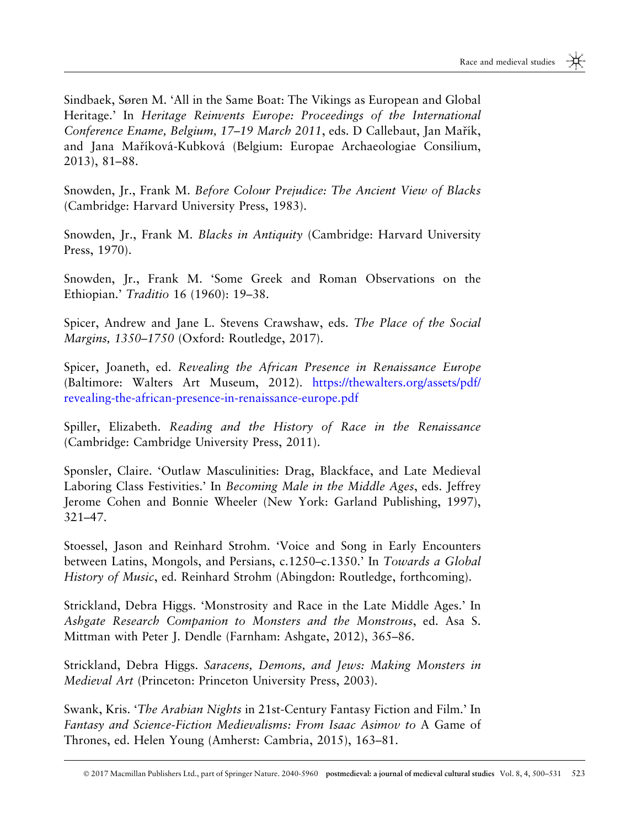Sindbaek, Søren M. 'All in the Same Boat: The Vikings as European and Global Heritage.' In Heritage Reinvents Europe: Proceedings of the International Conference Ename, Belgium, 17-19 March 2011, eds. D Callebaut, Jan Mařík, and Jana Maříková-Kubková (Belgium: Europae Archaeologiae Consilium, 2013), 81–88.

Snowden, Jr., Frank M. Before Colour Prejudice: The Ancient View of Blacks (Cambridge: Harvard University Press, 1983).

Snowden, Jr., Frank M. Blacks in Antiquity (Cambridge: Harvard University Press, 1970).

Snowden, Jr., Frank M. 'Some Greek and Roman Observations on the Ethiopian.' Traditio 16 (1960): 19–38.

Spicer, Andrew and Jane L. Stevens Crawshaw, eds. The Place of the Social Margins, 1350–1750 (Oxford: Routledge, 2017).

Spicer, Joaneth, ed. Revealing the African Presence in Renaissance Europe (Baltimore: Walters Art Museum, 2012). [https://thewalters.org/assets/pdf/](https://thewalters.org/assets/pdf/revealing-the-african-presence-in-renaissance-europe.pdf) [revealing-the-african-presence-in-renaissance-europe.pdf](https://thewalters.org/assets/pdf/revealing-the-african-presence-in-renaissance-europe.pdf)

Spiller, Elizabeth. Reading and the History of Race in the Renaissance (Cambridge: Cambridge University Press, 2011).

Sponsler, Claire. 'Outlaw Masculinities: Drag, Blackface, and Late Medieval Laboring Class Festivities.' In Becoming Male in the Middle Ages, eds. Jeffrey Jerome Cohen and Bonnie Wheeler (New York: Garland Publishing, 1997), 321–47.

Stoessel, Jason and Reinhard Strohm. 'Voice and Song in Early Encounters between Latins, Mongols, and Persians, c.1250–c.1350.' In Towards a Global History of Music, ed. Reinhard Strohm (Abingdon: Routledge, forthcoming).

Strickland, Debra Higgs. 'Monstrosity and Race in the Late Middle Ages.' In Ashgate Research Companion to Monsters and the Monstrous, ed. Asa S. Mittman with Peter J. Dendle (Farnham: Ashgate, 2012), 365–86.

Strickland, Debra Higgs. Saracens, Demons, and Jews: Making Monsters in Medieval Art (Princeton: Princeton University Press, 2003).

Swank, Kris. 'The Arabian Nights in 21st-Century Fantasy Fiction and Film.' In Fantasy and Science-Fiction Medievalisms: From Isaac Asimov to A Game of Thrones, ed. Helen Young (Amherst: Cambria, 2015), 163–81.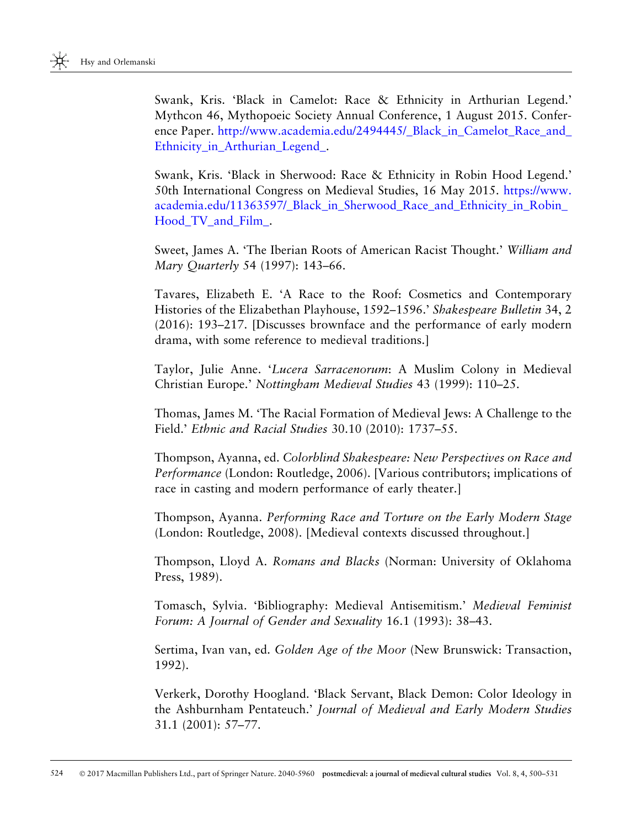Swank, Kris. 'Black in Camelot: Race & Ethnicity in Arthurian Legend.' Mythcon 46, Mythopoeic Society Annual Conference, 1 August 2015. Conference Paper. [http://www.academia.edu/2494445/\\_Black\\_in\\_Camelot\\_Race\\_and\\_](http://www.academia.edu/2494445/_Black_in_Camelot_Race_and_Ethnicity_in_Arthurian_Legend_) Ethnicity in Arthurian Legend.

Swank, Kris. 'Black in Sherwood: Race & Ethnicity in Robin Hood Legend.' 50th International Congress on Medieval Studies, 16 May 2015. [https://www.](https://www.academia.edu/11363597/_Black_in_Sherwood_Race_and_Ethnicity_in_Robin_Hood_TV_and_Film_) [academia.edu/11363597/\\_Black\\_in\\_Sherwood\\_Race\\_and\\_Ethnicity\\_in\\_Robin\\_](https://www.academia.edu/11363597/_Black_in_Sherwood_Race_and_Ethnicity_in_Robin_Hood_TV_and_Film_) Hood TV and Film.

Sweet, James A. 'The Iberian Roots of American Racist Thought.' William and Mary Quarterly 54 (1997): 143–66.

Tavares, Elizabeth E. 'A Race to the Roof: Cosmetics and Contemporary Histories of the Elizabethan Playhouse, 1592–1596.' Shakespeare Bulletin 34, 2 (2016): 193–217. [Discusses brownface and the performance of early modern drama, with some reference to medieval traditions.]

Taylor, Julie Anne. 'Lucera Sarracenorum: A Muslim Colony in Medieval Christian Europe.' Nottingham Medieval Studies 43 (1999): 110–25.

Thomas, James M. 'The Racial Formation of Medieval Jews: A Challenge to the Field.' Ethnic and Racial Studies 30.10 (2010): 1737–55.

Thompson, Ayanna, ed. Colorblind Shakespeare: New Perspectives on Race and Performance (London: Routledge, 2006). [Various contributors; implications of race in casting and modern performance of early theater.]

Thompson, Ayanna. Performing Race and Torture on the Early Modern Stage (London: Routledge, 2008). [Medieval contexts discussed throughout.]

Thompson, Lloyd A. Romans and Blacks (Norman: University of Oklahoma Press, 1989).

Tomasch, Sylvia. 'Bibliography: Medieval Antisemitism.' Medieval Feminist Forum: A Journal of Gender and Sexuality 16.1 (1993): 38–43.

Sertima, Ivan van, ed. Golden Age of the Moor (New Brunswick: Transaction, 1992).

Verkerk, Dorothy Hoogland. 'Black Servant, Black Demon: Color Ideology in the Ashburnham Pentateuch.' Journal of Medieval and Early Modern Studies 31.1 (2001): 57–77.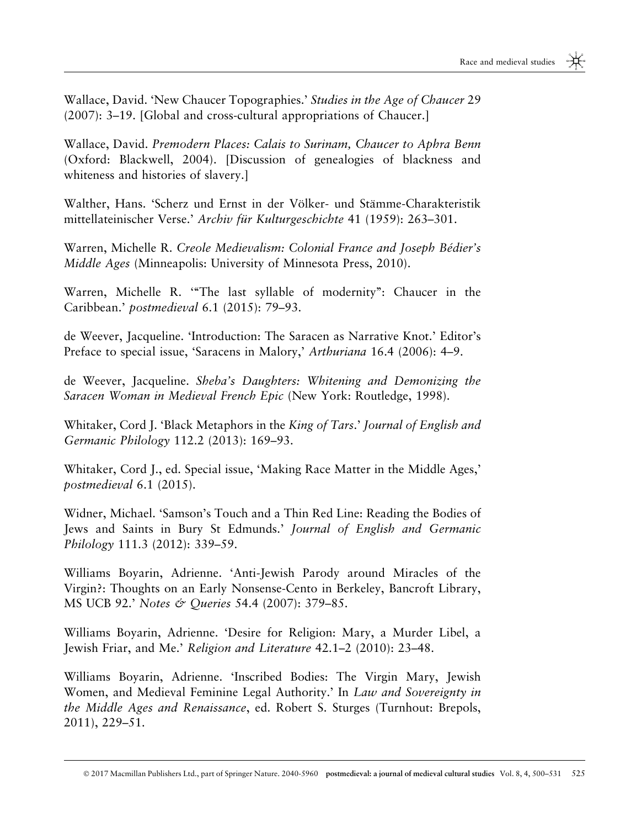Wallace, David. 'New Chaucer Topographies.' Studies in the Age of Chaucer 29 (2007): 3–19. [Global and cross-cultural appropriations of Chaucer.]

Wallace, David. Premodern Places: Calais to Surinam, Chaucer to Aphra Benn (Oxford: Blackwell, 2004). [Discussion of genealogies of blackness and whiteness and histories of slavery.]

Walther, Hans. 'Scherz und Ernst in der Völker- und Stämme-Charakteristik mittellateinischer Verse.' Archiv für Kulturgeschichte 41 (1959): 263–301.

Warren, Michelle R. Creole Medievalism: Colonial France and Joseph Bédier's Middle Ages (Minneapolis: University of Minnesota Press, 2010).

Warren, Michelle R. "The last syllable of modernity": Chaucer in the Caribbean.' postmedieval 6.1 (2015): 79–93.

de Weever, Jacqueline. 'Introduction: The Saracen as Narrative Knot.' Editor's Preface to special issue, 'Saracens in Malory,' Arthuriana 16.4 (2006): 4–9.

de Weever, Jacqueline. Sheba's Daughters: Whitening and Demonizing the Saracen Woman in Medieval French Epic (New York: Routledge, 1998).

Whitaker, Cord J. 'Black Metaphors in the King of Tars.' Journal of English and Germanic Philology 112.2 (2013): 169–93.

Whitaker, Cord J., ed. Special issue, 'Making Race Matter in the Middle Ages,' postmedieval 6.1 (2015).

Widner, Michael. 'Samson's Touch and a Thin Red Line: Reading the Bodies of Jews and Saints in Bury St Edmunds.' Journal of English and Germanic Philology 111.3 (2012): 339–59.

Williams Boyarin, Adrienne. 'Anti-Jewish Parody around Miracles of the Virgin?: Thoughts on an Early Nonsense-Cento in Berkeley, Bancroft Library, MS UCB 92.' Notes & Queries 54.4 (2007): 379-85.

Williams Boyarin, Adrienne. 'Desire for Religion: Mary, a Murder Libel, a Jewish Friar, and Me.' Religion and Literature 42.1–2 (2010): 23–48.

Williams Boyarin, Adrienne. 'Inscribed Bodies: The Virgin Mary, Jewish Women, and Medieval Feminine Legal Authority.' In Law and Sovereignty in the Middle Ages and Renaissance, ed. Robert S. Sturges (Turnhout: Brepols, 2011), 229–51.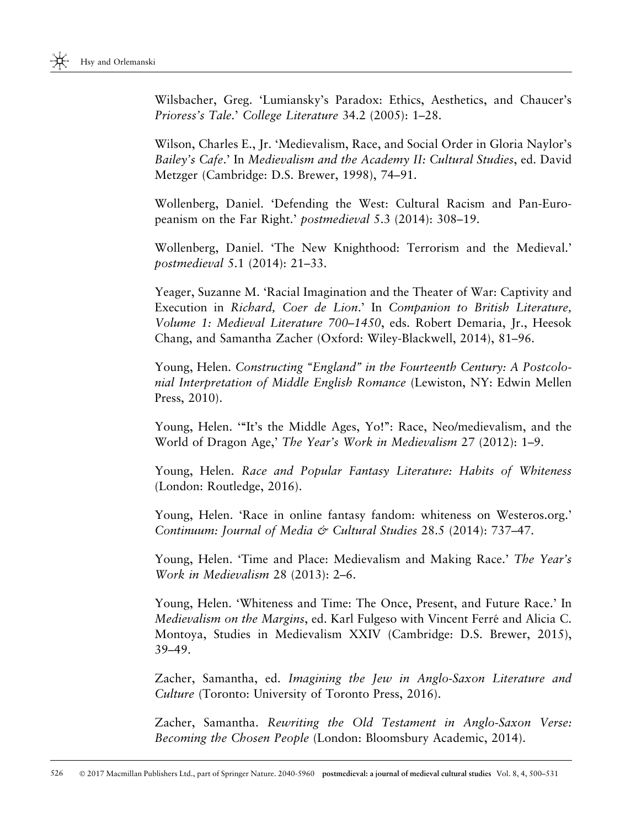Wilsbacher, Greg. 'Lumiansky's Paradox: Ethics, Aesthetics, and Chaucer's Prioress's Tale.' College Literature 34.2 (2005): 1–28.

Wilson, Charles E., Jr. 'Medievalism, Race, and Social Order in Gloria Naylor's Bailey's Cafe.' In Medievalism and the Academy II: Cultural Studies, ed. David Metzger (Cambridge: D.S. Brewer, 1998), 74–91.

Wollenberg, Daniel. 'Defending the West: Cultural Racism and Pan-Europeanism on the Far Right.' postmedieval 5.3 (2014): 308–19.

Wollenberg, Daniel. 'The New Knighthood: Terrorism and the Medieval.' postmedieval 5.1 (2014): 21–33.

Yeager, Suzanne M. 'Racial Imagination and the Theater of War: Captivity and Execution in Richard, Coer de Lion.' In Companion to British Literature, Volume 1: Medieval Literature 700–1450, eds. Robert Demaria, Jr., Heesok Chang, and Samantha Zacher (Oxford: Wiley-Blackwell, 2014), 81–96.

Young, Helen. Constructing "England" in the Fourteenth Century: A Postcolonial Interpretation of Middle English Romance (Lewiston, NY: Edwin Mellen Press, 2010).

Young, Helen. "It's the Middle Ages, Yo!": Race, Neo/medievalism, and the World of Dragon Age,' The Year's Work in Medievalism 27 (2012): 1–9.

Young, Helen. Race and Popular Fantasy Literature: Habits of Whiteness (London: Routledge, 2016).

Young, Helen. 'Race in online fantasy fandom: whiteness on Westeros.org.' Continuum: Journal of Media & Cultural Studies 28.5 (2014): 737–47.

Young, Helen. 'Time and Place: Medievalism and Making Race.' The Year's Work in Medievalism 28 (2013): 2–6.

Young, Helen. 'Whiteness and Time: The Once, Present, and Future Race.' In Medievalism on the Margins, ed. Karl Fulgeso with Vincent Ferré and Alicia C. Montoya, Studies in Medievalism XXIV (Cambridge: D.S. Brewer, 2015), 39–49.

Zacher, Samantha, ed. Imagining the Jew in Anglo-Saxon Literature and Culture (Toronto: University of Toronto Press, 2016).

Zacher, Samantha. Rewriting the Old Testament in Anglo-Saxon Verse: Becoming the Chosen People (London: Bloomsbury Academic, 2014).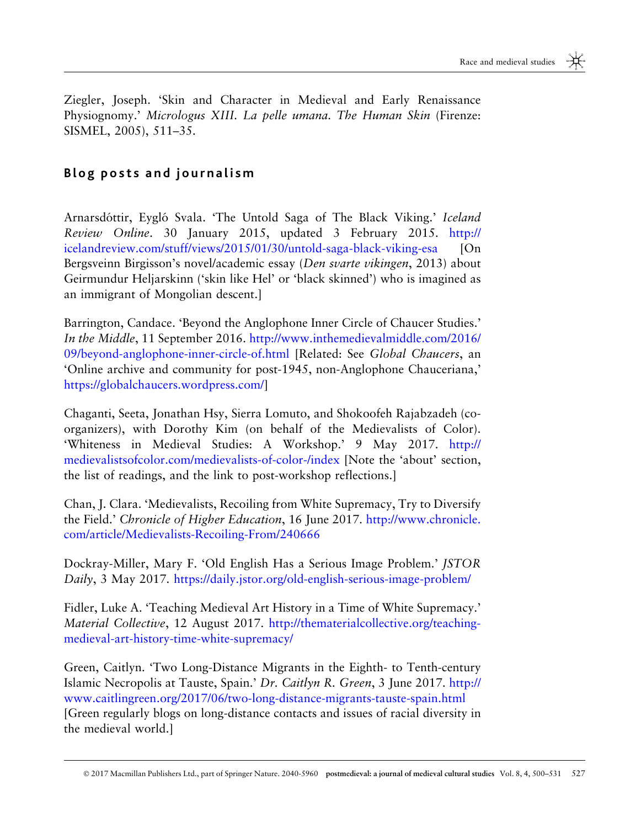Ziegler, Joseph. 'Skin and Character in Medieval and Early Renaissance Physiognomy.' Micrologus XIII. La pelle umana. The Human Skin (Firenze: SISMEL, 2005), 511–35.

## Blog posts and journalism

Arnarsdóttir, Eygló Svala. 'The Untold Saga of The Black Viking.' Iceland Review Online. 30 January 2015, updated 3 February 2015. [http://](http://icelandreview.com/stuff/views/2015/01/30/untold-saga-black-viking-esa) [icelandreview.com/stuff/views/2015/01/30/untold-saga-black-viking-esa](http://icelandreview.com/stuff/views/2015/01/30/untold-saga-black-viking-esa) [On Bergsveinn Birgisson's novel/academic essay (Den svarte vikingen, 2013) about Geirmundur Heljarskinn ('skin like Hel' or 'black skinned') who is imagined as an immigrant of Mongolian descent.]

Barrington, Candace. 'Beyond the Anglophone Inner Circle of Chaucer Studies.' In the Middle, 11 September 2016. [http://www.inthemedievalmiddle.com/2016/](http://www.inthemedievalmiddle.com/2016/09/beyond-anglophone-inner-circle-of.html) [09/beyond-anglophone-inner-circle-of.html](http://www.inthemedievalmiddle.com/2016/09/beyond-anglophone-inner-circle-of.html) [Related: See Global Chaucers, an 'Online archive and community for post-1945, non-Anglophone Chauceriana,' [https://globalchaucers.wordpress.com/\]](https://globalchaucers.wordpress.com/)

Chaganti, Seeta, Jonathan Hsy, Sierra Lomuto, and Shokoofeh Rajabzadeh (coorganizers), with Dorothy Kim (on behalf of the Medievalists of Color). 'Whiteness in Medieval Studies: A Workshop.' 9 May 2017. [http://](http://medievalistsofcolor.com/medievalists-of-color-/index) [medievalistsofcolor.com/medievalists-of-color-/index](http://medievalistsofcolor.com/medievalists-of-color-/index) [Note the 'about' section, the list of readings, and the link to post-workshop reflections.]

Chan, J. Clara. 'Medievalists, Recoiling from White Supremacy, Try to Diversify the Field.' Chronicle of Higher Education, 16 June 2017. [http://www.chronicle.](http://www.chronicle.com/article/Medievalists-Recoiling-From/240666) [com/article/Medievalists-Recoiling-From/240666](http://www.chronicle.com/article/Medievalists-Recoiling-From/240666)

Dockray-Miller, Mary F. 'Old English Has a Serious Image Problem.' JSTOR Daily, 3 May 2017. <https://daily.jstor.org/old-english-serious-image-problem/>

Fidler, Luke A. 'Teaching Medieval Art History in a Time of White Supremacy.' Material Collective, 12 August 2017. [http://thematerialcollective.org/teaching](http://thematerialcollective.org/teaching-medieval-art-history-time-white-supremacy/)[medieval-art-history-time-white-supremacy/](http://thematerialcollective.org/teaching-medieval-art-history-time-white-supremacy/)

Green, Caitlyn. 'Two Long-Distance Migrants in the Eighth- to Tenth-century Islamic Necropolis at Tauste, Spain.' Dr. Caitlyn R. Green, 3 June 2017. [http://](http://www.caitlingreen.org/2017/06/two-long-distance-migrants-tauste-spain.html) [www.caitlingreen.org/2017/06/two-long-distance-migrants-tauste-spain.html](http://www.caitlingreen.org/2017/06/two-long-distance-migrants-tauste-spain.html) [Green regularly blogs on long-distance contacts and issues of racial diversity in the medieval world.]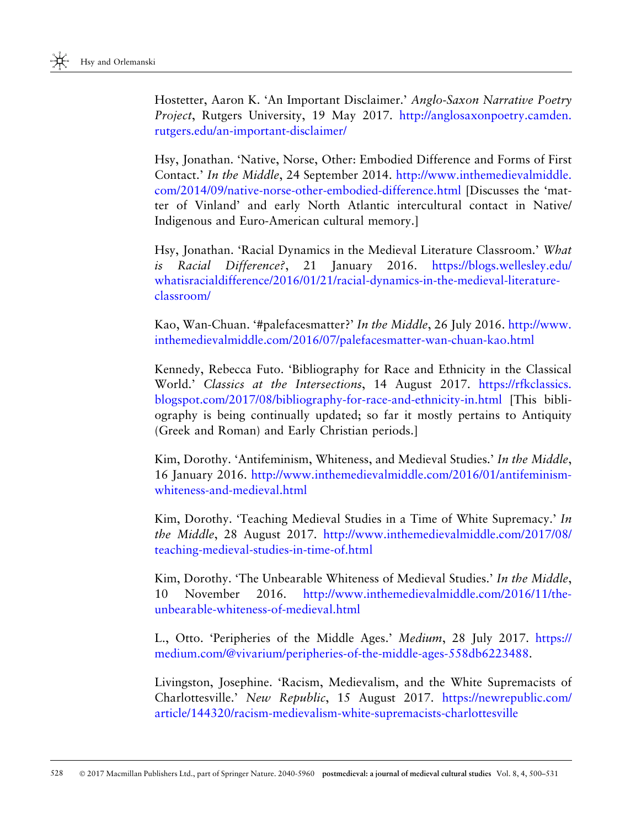Hostetter, Aaron K. 'An Important Disclaimer.' Anglo-Saxon Narrative Poetry Project, Rutgers University, 19 May 2017. [http://anglosaxonpoetry.camden.](http://anglosaxonpoetry.camden.rutgers.edu/an-important-disclaimer/) [rutgers.edu/an-important-disclaimer/](http://anglosaxonpoetry.camden.rutgers.edu/an-important-disclaimer/)

Hsy, Jonathan. 'Native, Norse, Other: Embodied Difference and Forms of First Contact.' In the Middle, 24 September 2014. [http://www.inthemedievalmiddle.](http://www.inthemedievalmiddle.com/2014/09/native-norse-other-embodied-difference.html) [com/2014/09/native-norse-other-embodied-difference.html](http://www.inthemedievalmiddle.com/2014/09/native-norse-other-embodied-difference.html) [Discusses the 'matter of Vinland' and early North Atlantic intercultural contact in Native/ Indigenous and Euro-American cultural memory.]

Hsy, Jonathan. 'Racial Dynamics in the Medieval Literature Classroom.' What is Racial Difference?, 21 January 2016. [https://blogs.wellesley.edu/](https://blogs.wellesley.edu/whatisracialdifference/2016/01/21/racial-dynamics-in-the-medieval-literature-classroom/) [whatisracialdifference/2016/01/21/racial-dynamics-in-the-medieval-literature](https://blogs.wellesley.edu/whatisracialdifference/2016/01/21/racial-dynamics-in-the-medieval-literature-classroom/)[classroom/](https://blogs.wellesley.edu/whatisracialdifference/2016/01/21/racial-dynamics-in-the-medieval-literature-classroom/)

Kao, Wan-Chuan. '#palefacesmatter?' In the Middle, 26 July 2016. [http://www.](http://www.inthemedievalmiddle.com/2016/07/palefacesmatter-wan-chuan-kao.html) [inthemedievalmiddle.com/2016/07/palefacesmatter-wan-chuan-kao.html](http://www.inthemedievalmiddle.com/2016/07/palefacesmatter-wan-chuan-kao.html)

Kennedy, Rebecca Futo. 'Bibliography for Race and Ethnicity in the Classical World.' Classics at the Intersections, 14 August 2017. [https://rfkclassics.](https://rfkclassics.blogspot.com/2017/08/bibliography-for-race-and-ethnicity-in.html) [blogspot.com/2017/08/bibliography-for-race-and-ethnicity-in.html](https://rfkclassics.blogspot.com/2017/08/bibliography-for-race-and-ethnicity-in.html) [This bibliography is being continually updated; so far it mostly pertains to Antiquity (Greek and Roman) and Early Christian periods.]

Kim, Dorothy. 'Antifeminism, Whiteness, and Medieval Studies.' In the Middle, 16 January 2016. [http://www.inthemedievalmiddle.com/2016/01/antifeminism](http://www.inthemedievalmiddle.com/2016/01/antifeminism-whiteness-and-medieval.html)[whiteness-and-medieval.html](http://www.inthemedievalmiddle.com/2016/01/antifeminism-whiteness-and-medieval.html)

Kim, Dorothy. 'Teaching Medieval Studies in a Time of White Supremacy.' In the Middle, 28 August 2017. [http://www.inthemedievalmiddle.com/2017/08/](http://www.inthemedievalmiddle.com/2017/08/teaching-medieval-studies-in-time-of.html) [teaching-medieval-studies-in-time-of.html](http://www.inthemedievalmiddle.com/2017/08/teaching-medieval-studies-in-time-of.html)

Kim, Dorothy. 'The Unbearable Whiteness of Medieval Studies.' In the Middle, 10 November 2016. [http://www.inthemedievalmiddle.com/2016/11/the](http://www.inthemedievalmiddle.com/2016/11/the-unbearable-whiteness-of-medieval.html)[unbearable-whiteness-of-medieval.html](http://www.inthemedievalmiddle.com/2016/11/the-unbearable-whiteness-of-medieval.html)

L., Otto. 'Peripheries of the Middle Ages.' Medium, 28 July 2017. [https://](https://medium.com/%40vivarium/peripheries-of-the-middle-ages-558db6223488) [medium.com/@vivarium/peripheries-of-the-middle-ages-558db6223488.](https://medium.com/%40vivarium/peripheries-of-the-middle-ages-558db6223488)

Livingston, Josephine. 'Racism, Medievalism, and the White Supremacists of Charlottesville.' New Republic, 15 August 2017. [https://newrepublic.com/](https://newrepublic.com/article/144320/racism-medievalism-white-supremacists-charlottesville) [article/144320/racism-medievalism-white-supremacists-charlottesville](https://newrepublic.com/article/144320/racism-medievalism-white-supremacists-charlottesville)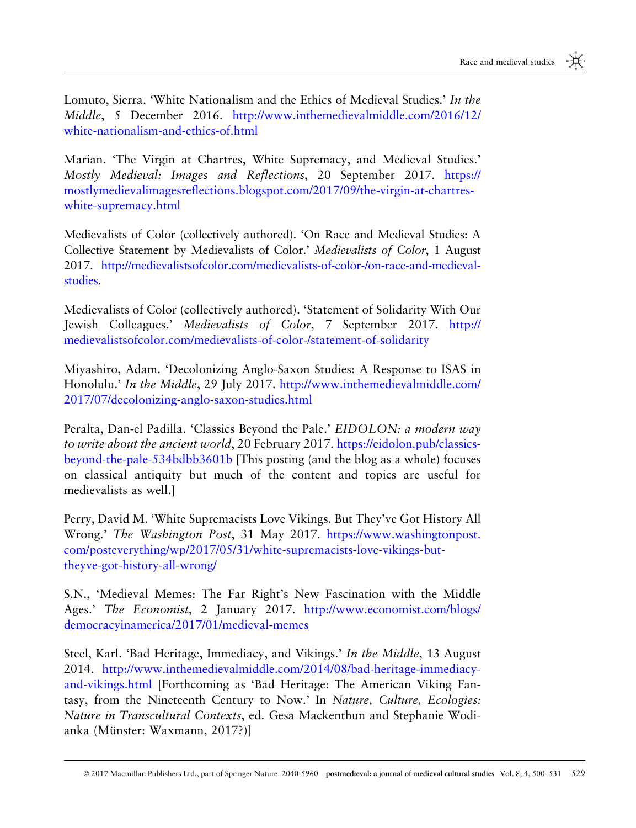Lomuto, Sierra. 'White Nationalism and the Ethics of Medieval Studies.' In the Middle, 5 December 2016. [http://www.inthemedievalmiddle.com/2016/12/](http://www.inthemedievalmiddle.com/2016/12/white-nationalism-and-ethics-of.html) [white-nationalism-and-ethics-of.html](http://www.inthemedievalmiddle.com/2016/12/white-nationalism-and-ethics-of.html)

Marian. 'The Virgin at Chartres, White Supremacy, and Medieval Studies.' Mostly Medieval: Images and Reflections, 20 September 2017. [https://](https://mostlymedievalimagesreflections.blogspot.com/2017/09/the-virgin-at-chartres-white-supremacy.html) [mostlymedievalimagesreflections.blogspot.com/2017/09/the-virgin-at-chartres](https://mostlymedievalimagesreflections.blogspot.com/2017/09/the-virgin-at-chartres-white-supremacy.html)[white-supremacy.html](https://mostlymedievalimagesreflections.blogspot.com/2017/09/the-virgin-at-chartres-white-supremacy.html)

Medievalists of Color (collectively authored). 'On Race and Medieval Studies: A Collective Statement by Medievalists of Color.' Medievalists of Color, 1 August 2017. [http://medievalistsofcolor.com/medievalists-of-color-/on-race-and-medieval](http://medievalistsofcolor.com/medievalists-of-color-/on-race-and-medieval-studies)[studies.](http://medievalistsofcolor.com/medievalists-of-color-/on-race-and-medieval-studies)

Medievalists of Color (collectively authored). 'Statement of Solidarity With Our Jewish Colleagues.' Medievalists of Color, 7 September 2017. [http://](http://medievalistsofcolor.com/medievalists-of-color-/statement-of-solidarity) [medievalistsofcolor.com/medievalists-of-color-/statement-of-solidarity](http://medievalistsofcolor.com/medievalists-of-color-/statement-of-solidarity)

Miyashiro, Adam. 'Decolonizing Anglo-Saxon Studies: A Response to ISAS in Honolulu.' In the Middle, 29 July 2017. [http://www.inthemedievalmiddle.com/](http://www.inthemedievalmiddle.com/2017/07/decolonizing-anglo-saxon-studies.html) [2017/07/decolonizing-anglo-saxon-studies.html](http://www.inthemedievalmiddle.com/2017/07/decolonizing-anglo-saxon-studies.html)

Peralta, Dan-el Padilla. 'Classics Beyond the Pale.' EIDOLON: a modern way to write about the ancient world, 20 February 2017. [https://eidolon.pub/classics](https://eidolon.pub/classics-beyond-the-pale-534bdbb3601b)[beyond-the-pale-534bdbb3601b](https://eidolon.pub/classics-beyond-the-pale-534bdbb3601b) [This posting (and the blog as a whole) focuses on classical antiquity but much of the content and topics are useful for medievalists as well.]

Perry, David M. 'White Supremacists Love Vikings. But They've Got History All Wrong.' The Washington Post, 31 May 2017. [https://www.washingtonpost.](https://www.washingtonpost.com/posteverything/wp/2017/05/31/white-supremacists-love-vikings-but-theyve-got-history-all-wrong/) [com/posteverything/wp/2017/05/31/white-supremacists-love-vikings-but](https://www.washingtonpost.com/posteverything/wp/2017/05/31/white-supremacists-love-vikings-but-theyve-got-history-all-wrong/)[theyve-got-history-all-wrong/](https://www.washingtonpost.com/posteverything/wp/2017/05/31/white-supremacists-love-vikings-but-theyve-got-history-all-wrong/)

S.N., 'Medieval Memes: The Far Right's New Fascination with the Middle Ages.' The Economist, 2 January 2017. [http://www.economist.com/blogs/](http://www.economist.com/blogs/democracyinamerica/2017/01/medieval-memes) [democracyinamerica/2017/01/medieval-memes](http://www.economist.com/blogs/democracyinamerica/2017/01/medieval-memes)

Steel, Karl. 'Bad Heritage, Immediacy, and Vikings.' In the Middle, 13 August 2014. [http://www.inthemedievalmiddle.com/2014/08/bad-heritage-immediacy](http://www.inthemedievalmiddle.com/2014/08/bad-heritage-immediacy-and-vikings.html)[and-vikings.html](http://www.inthemedievalmiddle.com/2014/08/bad-heritage-immediacy-and-vikings.html) [Forthcoming as 'Bad Heritage: The American Viking Fantasy, from the Nineteenth Century to Now.' In Nature, Culture, Ecologies: Nature in Transcultural Contexts, ed. Gesa Mackenthun and Stephanie Wodianka (Münster: Waxmann, 2017?)]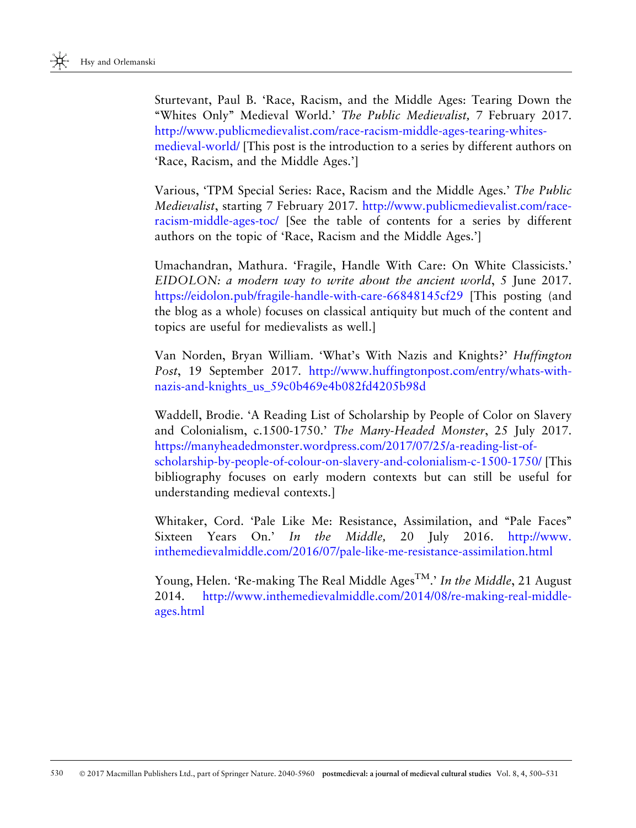Sturtevant, Paul B. 'Race, Racism, and the Middle Ages: Tearing Down the ''Whites Only'' Medieval World.' The Public Medievalist, 7 February 2017. [http://www.publicmedievalist.com/race-racism-middle-ages-tearing-whites](http://www.publicmedievalist.com/race-racism-middle-ages-tearing-whites-medieval-world/)[medieval-world/](http://www.publicmedievalist.com/race-racism-middle-ages-tearing-whites-medieval-world/) [This post is the introduction to a series by different authors on 'Race, Racism, and the Middle Ages.']

Various, 'TPM Special Series: Race, Racism and the Middle Ages.' The Public Medievalist, starting 7 February 2017. [http://www.publicmedievalist.com/race](http://www.publicmedievalist.com/race-racism-middle-ages-toc/)[racism-middle-ages-toc/](http://www.publicmedievalist.com/race-racism-middle-ages-toc/) [See the table of contents for a series by different authors on the topic of 'Race, Racism and the Middle Ages.']

Umachandran, Mathura. 'Fragile, Handle With Care: On White Classicists.' EIDOLON: a modern way to write about the ancient world, 5 June 2017. <https://eidolon.pub/fragile-handle-with-care-66848145cf29> [This posting (and the blog as a whole) focuses on classical antiquity but much of the content and topics are useful for medievalists as well.]

Van Norden, Bryan William. 'What's With Nazis and Knights?' Huffington Post, 19 September 2017. [http://www.huffingtonpost.com/entry/whats-with](http://www.huffingtonpost.com/entry/whats-with-nazis-and-knights_us_59c0b469e4b082fd4205b98d)[nazis-and-knights\\_us\\_59c0b469e4b082fd4205b98d](http://www.huffingtonpost.com/entry/whats-with-nazis-and-knights_us_59c0b469e4b082fd4205b98d)

Waddell, Brodie. 'A Reading List of Scholarship by People of Color on Slavery and Colonialism, c.1500-1750.' The Many-Headed Monster, 25 July 2017. [https://manyheadedmonster.wordpress.com/2017/07/25/a-reading-list-of](https://manyheadedmonster.wordpress.com/2017/07/25/a-reading-list-of-scholarship-by-people-of-colour-on-slavery-and-colonialism-c-1500-1750/)[scholarship-by-people-of-colour-on-slavery-and-colonialism-c-1500-1750/](https://manyheadedmonster.wordpress.com/2017/07/25/a-reading-list-of-scholarship-by-people-of-colour-on-slavery-and-colonialism-c-1500-1750/) [This bibliography focuses on early modern contexts but can still be useful for understanding medieval contexts.]

Whitaker, Cord. 'Pale Like Me: Resistance, Assimilation, and "Pale Faces" Sixteen Years On.' In the Middle, 20 July 2016. [http://www.](http://www.inthemedievalmiddle.com/2016/07/pale-like-me-resistance-assimilation.html) [inthemedievalmiddle.com/2016/07/pale-like-me-resistance-assimilation.html](http://www.inthemedievalmiddle.com/2016/07/pale-like-me-resistance-assimilation.html)

Young, Helen. 'Re-making The Real Middle Ages<sup>TM</sup>.' In the Middle, 21 August 2014. [http://www.inthemedievalmiddle.com/2014/08/re-making-real-middle](http://www.inthemedievalmiddle.com/2014/08/re-making-real-middle-ages.html)[ages.html](http://www.inthemedievalmiddle.com/2014/08/re-making-real-middle-ages.html)